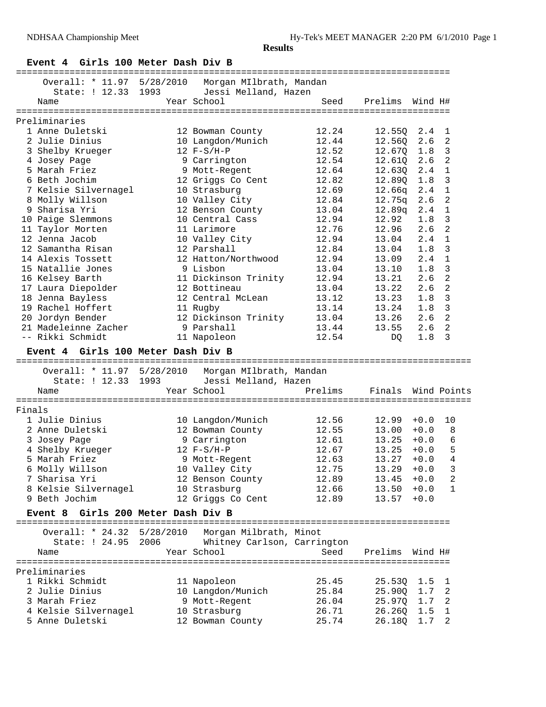## **Event 4 Girls 100 Meter Dash Div B**

|        |                                       |                                                    | =================================== |                  |                    |                            |
|--------|---------------------------------------|----------------------------------------------------|-------------------------------------|------------------|--------------------|----------------------------|
|        | Overall: * 11.97 5/28/2010            | Morgan MIlbrath, Mandan                            |                                     |                  |                    |                            |
|        | State: ! 12.33 1993                   | Jessi Melland, Hazen                               |                                     |                  |                    |                            |
|        | Name                                  | Year School                                        | Seed                                | Prelims          | Wind H#            |                            |
|        | Preliminaries                         |                                                    |                                     |                  |                    |                            |
|        | 1 Anne Duletski                       | 12 Bowman County                                   | 12.24                               | 12.55Q           | $2.4 \quad 1$      |                            |
|        | 2 Julie Dinius                        | 10 Langdon/Munich                                  | 12.44                               | 12.56Q           | 2.6                | $\overline{\phantom{0}}^2$ |
|        | 3 Shelby Krueger                      | $12 F-S/H-P$                                       | 12.52                               | 12.67Q           | 1.8                | $\overline{\mathbf{3}}$    |
|        | 4 Josey Page                          | 9 Carrington                                       | 12.54                               | 12.610           | 2.6                | 2                          |
|        | 5 Marah Friez                         | 9 Mott-Regent                                      | 12.64                               | 12.63Q           | 2.4                | $\mathbf{1}$               |
|        | 6 Beth Jochim                         | 12 Griggs Co Cent                                  | 12.82                               | 12.89Q           | 1.8                | 3                          |
|        | 7 Kelsie Silvernagel                  | 10 Strasburg                                       | 12.69                               | 12.66q           | 2.4                | 1                          |
|        | 8 Molly Willson                       | 10 Valley City                                     | 12.84                               | 12.75q           | 2.6                | $\overline{a}$             |
|        | 9 Sharisa Yri                         | 12 Benson County                                   | 13.04                               | 12.89q           | 2.4                | $\mathbf{1}$               |
|        | 10 Paige Slemmons                     | 10 Central Cass                                    | 12.94                               | 12.92            | 1.8                | 3                          |
|        | 11 Taylor Morten                      | 11 Larimore                                        | 12.76                               | 12.96            | 2.6                | $\overline{2}$             |
|        | 12 Jenna Jacob                        | 10 Valley City                                     | 12.94                               | 13.04            | 2.4                | $\mathbf{1}$               |
|        | 12 Samantha Risan                     | 12 Parshall                                        | 12.84                               | 13.04            | 1.8                | 3                          |
|        | 14 Alexis Tossett                     | 12 Hatton/Northwood                                | 12.94                               | 13.09            | 2.4                | 1                          |
|        | 15 Natallie Jones                     | 9 Lisbon                                           | 13.04                               | 13.10            | 1.8                | $\overline{3}$             |
|        | 16 Kelsey Barth                       | 11 Dickinson Trinity                               | 12.94                               | 13.21            | 2.6                | 2                          |
|        | 17 Laura Diepolder                    | 12 Bottineau                                       | 13.04                               | 13.22            | 2.6                | $\overline{2}$             |
|        | 18 Jenna Bayless                      | 12 Central McLean                                  | 13.12                               | 13.23            | 1.8                | 3                          |
|        | 19 Rachel Hoffert                     | 11 Rugby                                           | 13.14                               | 13.24            | 1.8                | $\overline{3}$             |
|        | 20 Jordyn Bender                      | 12 Dickinson Trinity                               | 13.04                               | 13.26            | 2.6                | $\overline{2}$             |
|        | 21 Madeleinne Zacher                  | 9 Parshall                                         | 13.44                               | 13.55            | 2.6                | 2                          |
|        | -- Rikki Schmidt                      | 11 Napoleon                                        | 12.54                               | DQ               | 1.8                | 3                          |
|        | Event 4 Girls 100 Meter Dash Div B    |                                                    |                                     |                  |                    |                            |
|        |                                       |                                                    |                                     |                  |                    |                            |
|        |                                       | Overall: * 11.97 5/28/2010 Morgan MIlbrath, Mandan |                                     |                  |                    |                            |
|        | State: ! 12.33 1993                   | Jessi Melland, Hazen                               |                                     |                  |                    |                            |
|        | Name                                  | Year School                                        | Prelims                             | Finals           |                    | Wind Points                |
|        | ========================              |                                                    |                                     |                  |                    |                            |
| Finals |                                       |                                                    |                                     |                  |                    |                            |
|        | 1 Julie Dinius                        | 10 Langdon/Munich                                  | 12.56                               | 12.99            | $+0.0$             | 10                         |
|        | 2 Anne Duletski                       | 12 Bowman County                                   | 12.55                               | 13.00            | $+0.0$             | 8                          |
|        | 3 Josey Page                          | 9 Carrington                                       | 12.61                               | 13.25            | $+0.0$             | 6                          |
|        | 4 Shelby Krueger                      | $12 F-S/H-P$                                       | 12.67                               | 13.25            | $+0.0$             | 5<br>4                     |
|        | 5 Marah Friez                         | 9 Mott-Regent                                      | 12.63                               | 13.27            | $+0.0$             |                            |
|        | 6 Molly Willson                       | 10 Valley City                                     | 12.75                               | $13.29 + 0.0$    |                    | 3                          |
|        | 7 Sharisa Yri                         | 12 Benson County                                   | 12.89                               | 13.45            | $+0.0$<br>$+0.0$   | 2<br>1                     |
|        | 8 Kelsie Silvernagel<br>9 Beth Jochim | 10 Strasburg                                       | 12.66                               | 13.50            | $+0.0$             |                            |
|        |                                       | 12 Griggs Co Cent                                  | 12.89                               | 13.57            |                    |                            |
|        | Event 8 Girls 200 Meter Dash Div B    |                                                    |                                     |                  |                    |                            |
|        | Overall: * 24.32 5/28/2010            | Morgan Milbrath, Minot                             |                                     |                  |                    |                            |
|        |                                       | State: ! 24.95 2006 Whitney Carlson, Carrington    |                                     |                  |                    |                            |
|        | Name                                  | Year School                                        | Seed                                | Prelims Wind H#  |                    |                            |
|        |                                       |                                                    |                                     |                  |                    |                            |
|        | Preliminaries                         |                                                    |                                     |                  |                    |                            |
|        | 1 Rikki Schmidt<br>2 Julie Dinius     | 11 Napoleon                                        | 25.45                               | 25.53Q           | 1.5                | $\mathbf{1}$               |
|        | 3 Marah Friez                         | 10 Langdon/Munich                                  | 25.84<br>26.04                      | 25.90Q           | $1.7-2$<br>$1.7-2$ |                            |
|        | 4 Kelsie Silvernagel                  | 9 Mott-Regent<br>10 Strasburg                      | 26.71                               | 25.97Q<br>26.260 | 1.5                | $\mathbf{1}$               |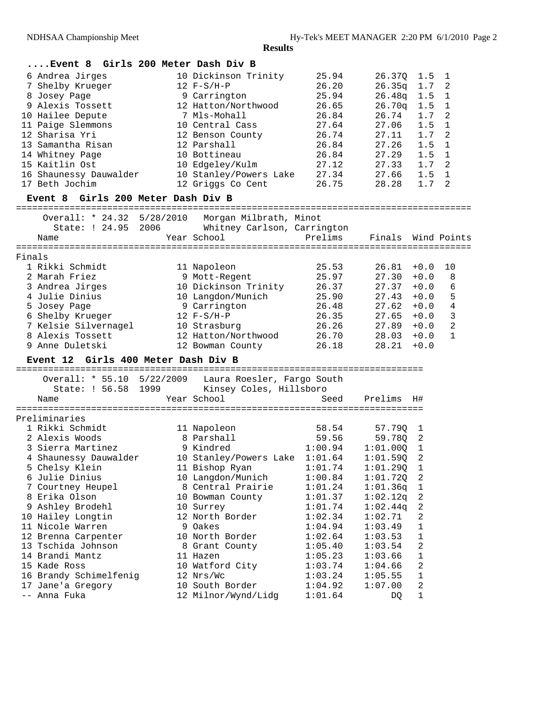|        | $\ldots$ . Event 8                  |           | Girls 200 Meter Dash Div B                        |         |                    |                  |                          |
|--------|-------------------------------------|-----------|---------------------------------------------------|---------|--------------------|------------------|--------------------------|
|        | 6 Andrea Jirges                     |           | 10 Dickinson Trinity                              | 25.94   | 26.370             | 1.5              | $\overline{\phantom{0}}$ |
|        | 7 Shelby Krueger                    |           | $12 F-S/H-P$                                      | 26.20   | 26.35q             | 1.7              | 2                        |
|        | 8 Josey Page                        |           | 9 Carrington                                      | 25.94   | 26.48q             | 1.5              | $\mathbf{1}$             |
|        | 9 Alexis Tossett                    |           | 12 Hatton/Northwood                               | 26.65   | 26.70q             | 1.5              | $\mathbf{1}$             |
|        | 10 Hailee Depute                    |           | 7 Mls-Mohall                                      | 26.84   | 26.74              | 1.7              | 2                        |
|        | 11 Paige Slemmons                   |           | 10 Central Cass                                   | 27.64   | 27.06              | 1.5              | 1                        |
|        | 12 Sharisa Yri                      |           | 12 Benson County                                  | 26.74   | 27.11              | 1.7              | 2                        |
|        | 13 Samantha Risan                   |           | 12 Parshall                                       | 26.84   | 27.26              | 1.5              | 1                        |
|        | 14 Whitney Page                     |           | 10 Bottineau                                      | 26.84   | 27.29              | 1.5              | 1                        |
|        | 15 Kaitlin Ost                      |           | 10 Edgeley/Kulm                                   | 27.12   | 27.33              | 1.7              | 2                        |
|        | 16 Shaunessy Dauwalder              |           | 10 Stanley/Powers Lake                            | 27.34   | 27.66              | 1.5              | 1                        |
|        | 17 Beth Jochim                      |           | 12 Griggs Co Cent                                 | 26.75   | 28.28              | 1.7              | 2                        |
|        |                                     |           |                                                   |         |                    |                  |                          |
|        | Event 8 Girls 200 Meter Dash Div B  |           |                                                   |         |                    |                  |                          |
|        |                                     |           | Overall: * 24.32 5/28/2010 Morgan Milbrath, Minot |         |                    |                  |                          |
|        | State: ! 24.95                      | 2006      | Whitney Carlson, Carrington                       |         |                    |                  |                          |
|        | Name                                |           | Year School                                       | Prelims | Finals Wind Points |                  |                          |
|        |                                     |           |                                                   |         |                    |                  |                          |
| Finals |                                     |           |                                                   |         |                    |                  |                          |
|        | 1 Rikki Schmidt                     |           | 11 Napoleon                                       | 25.53   | 26.81              | $+0.0$           | 10                       |
|        | 2 Marah Friez                       |           | 9 Mott-Regent                                     | 25.97   | 27.30              | $+0.0$           | 8                        |
|        | 3 Andrea Jirges                     |           | 10 Dickinson Trinity                              | 26.37   | 27.37              | $+0.0$           | 6                        |
|        | 4 Julie Dinius                      |           | 10 Langdon/Munich                                 | 25.90   | 27.43              | $+0.0$           | 5                        |
|        | 5 Josey Page                        |           | 9 Carrington                                      | 26.48   | 27.62              | $+0.0$           | 4                        |
|        | 6 Shelby Krueger                    |           | $12 F-S/H-P$                                      | 26.35   | 27.65              | $+0.0$           | 3                        |
|        | 7 Kelsie Silvernagel                |           | 10 Strasburg                                      | 26.26   | 27.89              | $+0.0$           | 2                        |
|        | 8 Alexis Tossett                    |           | 12 Hatton/Northwood                               | 26.70   | 28.03              | $+0.0$           | $\mathbf{1}$             |
|        | 9 Anne Duletski                     |           | 12 Bowman County                                  | 26.18   | 28.21              | $+0.0$           |                          |
|        | Event 12 Girls 400 Meter Dash Div B |           |                                                   |         |                    |                  |                          |
|        |                                     |           |                                                   |         |                    |                  |                          |
|        | Overall: * 55.10                    | 5/22/2009 | Laura Roesler, Fargo South                        |         |                    |                  |                          |
|        | State: ! 56.58                      | 1999      | Kinsey Coles, Hillsboro                           |         |                    |                  |                          |
|        | Name                                |           | Year School                                       | Seed    | Prelims            | H#               |                          |
|        |                                     |           |                                                   |         |                    |                  |                          |
|        | Preliminaries<br>1 Rikki Schmidt    |           |                                                   |         |                    |                  |                          |
|        | 2 Alexis Woods                      |           | 11 Napoleon                                       | 58.54   | 57.79Q             | 1                |                          |
|        |                                     |           | 8 Parshall                                        | 59.56   | 59.78Q             | 2                |                          |
|        | 3 Sierra Martinez                   |           | 9 Kindred                                         | 1:00.94 | 1:01.000           | $\mathbf 1$      |                          |
|        | 4 Shaunessy Dauwalder               |           | 10 Stanley/Powers Lake 1:01.64                    |         | 1:01.59Q           | $\boldsymbol{2}$ |                          |
|        | 5 Chelsy Klein                      |           | 11 Bishop Ryan                                    | 1:01.74 | 1:01.29Q           | 1                |                          |
|        | 6 Julie Dinius                      |           | 10 Langdon/Munich                                 | 1:00.84 | 1:01.72Q           | 2                |                          |
|        | 7 Courtney Heupel                   |           |                                                   |         |                    |                  |                          |
|        |                                     |           | 8 Central Prairie                                 | 1:01.24 | 1:01.36q           | 1                |                          |
|        | 8 Erika Olson                       |           | 10 Bowman County                                  | 1:01.37 | 1:02.12q           | 2                |                          |
|        | 9 Ashley Brodehl                    |           | 10 Surrey                                         | 1:01.74 | 1:02.44q           | 2                |                          |
|        | 10 Hailey Longtin                   |           | 12 North Border                                   | 1:02.34 | 1:02.71            | 2                |                          |
|        | 11 Nicole Warren                    |           | 9 Oakes                                           | 1:04.94 | 1:03.49            | 1                |                          |
|        | 12 Brenna Carpenter                 |           | 10 North Border                                   | 1:02.64 | 1:03.53            | 1                |                          |
|        | 13 Tschida Johnson                  |           | 8 Grant County                                    | 1:05.40 | 1:03.54            | 2                |                          |
|        | 14 Brandi Mantz                     |           | 11 Hazen                                          | 1:05.23 | 1:03.66            | 1                |                          |
|        | 15 Kade Ross                        |           | 10 Watford City                                   | 1:03.74 | 1:04.66            | 2                |                          |
|        | 16 Brandy Schimelfenig              |           | 12 Nrs/Wc                                         | 1:03.24 | 1:05.55            | 1                |                          |
|        | 17 Jane'a Gregory<br>-- Anna Fuka   |           | 10 South Border<br>12 Milnor/Wynd/Lidg            | 1:04.92 | 1:07.00            | 2                |                          |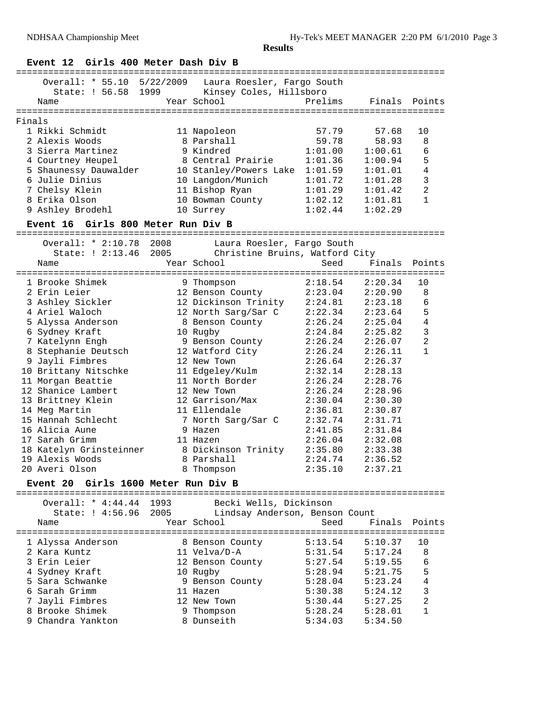# **Event 12 Girls 400 Meter Dash Div B**

|        | ==============================                |      |                                                                                  |         | :================================ |                |
|--------|-----------------------------------------------|------|----------------------------------------------------------------------------------|---------|-----------------------------------|----------------|
|        | State: ! 56.58 1999                           |      | Overall: * 55.10 5/22/2009 Laura Roesler, Fargo South<br>Kinsey Coles, Hillsboro |         |                                   |                |
|        | Name                                          |      | Year School                                                                      | Prelims | Finals                            | Points         |
|        |                                               |      |                                                                                  |         |                                   |                |
| Finals |                                               |      |                                                                                  |         |                                   |                |
|        | 1 Rikki Schmidt                               |      | 11 Napoleon                                                                      | 57.79   | 57.68                             | 10             |
|        | 2 Alexis Woods                                |      | 8 Parshall                                                                       | 59.78   | 58.93                             | 8              |
|        | 3 Sierra Martinez                             |      | 9 Kindred                                                                        | 1:01.00 | 1:00.61                           | 6              |
|        | 4 Courtney Heupel                             |      | 8 Central Prairie                                                                | 1:01.36 | 1:00.94                           | 5              |
|        | 5 Shaunessy Dauwalder                         |      | 10 Stanley/Powers Lake                                                           | 1:01.59 | 1:01.01                           | $\overline{4}$ |
|        | 6 Julie Dinius                                |      | 10 Langdon/Munich                                                                | 1:01.72 | 1:01.28                           | 3              |
|        | 7 Chelsy Klein                                |      | 11 Bishop Ryan                                                                   | 1:01.29 | 1:01.42                           | $\overline{a}$ |
|        | 8 Erika Olson                                 |      | 10 Bowman County                                                                 | 1:02.12 | 1:01.81                           | $\mathbf{1}$   |
|        | 9 Ashley Brodehl                              |      | 10 Surrey                                                                        | 1:02.44 | 1:02.29                           |                |
|        | Event 16 Girls 800 Meter Run Div B            |      |                                                                                  |         |                                   |                |
|        | Overall: * 2:10.78 2008                       |      | Laura Roesler, Fargo South                                                       |         |                                   |                |
|        | State: ! 2:13.46 2005                         |      | Christine Bruins, Watford City                                                   |         |                                   |                |
|        | Name                                          |      | Year School                                                                      | Seed    | Finals                            | Points         |
|        |                                               |      |                                                                                  |         |                                   |                |
|        | 1 Brooke Shimek                               |      | 9 Thompson                                                                       | 2:18.54 | 2:20.34                           | 10             |
|        | 2 Erin Leier                                  |      | 12 Benson County                                                                 | 2:23.04 | 2:20.90                           | 8              |
|        | 3 Ashley Sickler                              |      | 12 Dickinson Trinity                                                             | 2:24.81 | 2:23.18                           | 6              |
|        | 4 Ariel Waloch                                |      | 12 North Sarg/Sar C                                                              | 2:22.34 | 2:23.64                           | 5              |
|        | 5 Alyssa Anderson                             |      | 8 Benson County                                                                  | 2:26.24 | 2:25.04                           | $\overline{4}$ |
|        | 6 Sydney Kraft                                |      | 10 Rugby                                                                         | 2:24.84 | 2:25.82                           | $\mathsf 3$    |
|        | 7 Katelynn Engh                               |      | 9 Benson County                                                                  | 2:26.24 | 2:26.07                           | $\overline{2}$ |
|        | 8 Stephanie Deutsch                           |      | 12 Watford City                                                                  | 2:26.24 | 2:26.11                           | $\mathbf{1}$   |
|        | 9 Jayli Fimbres                               |      | 12 New Town                                                                      | 2:26.64 | 2:26.37                           |                |
|        | 10 Brittany Nitschke                          |      | 11 Edgeley/Kulm                                                                  | 2:32.14 | 2:28.13                           |                |
|        | 11 Morgan Beattie                             |      | 11 North Border                                                                  | 2:26.24 | 2:28.76                           |                |
|        | 12 Shanice Lambert                            |      | 12 New Town                                                                      | 2:26.24 | 2:28.96                           |                |
|        | 13 Brittney Klein                             |      | 12 Garrison/Max                                                                  | 2:30.04 | 2:30.30                           |                |
|        | 14 Meg Martin                                 |      | 11 Ellendale                                                                     | 2:36.81 | 2:30.87                           |                |
|        | 15 Hannah Schlecht                            |      | 7 North Sarg/Sar C                                                               | 2:32.74 | 2:31.71                           |                |
|        | 16 Alicia Aune                                |      | 9 Hazen                                                                          | 2:41.85 | 2:31.84                           |                |
|        | 17 Sarah Grimm                                |      | 11 Hazen                                                                         | 2:26.04 | 2:32.08                           |                |
|        | 18 Katelyn Grinsteinner                       |      | 8 Dickinson Trinity                                                              | 2:35.80 | 2:33.38                           |                |
|        | 19 Alexis Woods                               |      | 8 Parshall                                                                       | 2:24.74 | 2:36.52                           |                |
|        | 20 Averi Olson                                |      | 8 Thompson                                                                       | 2:35.10 | 2:37.21                           |                |
|        | Girls 1600 Meter Run Div B<br><b>Event 20</b> |      |                                                                                  |         |                                   |                |
|        | Overall: * 4:44.44                            | 1993 | Becki Wells, Dickinson                                                           |         |                                   |                |
|        | State: ! 4:56.96                              | 2005 | Lindsay Anderson, Benson Count                                                   |         |                                   |                |
|        | Name                                          |      | Year School                                                                      | Seed    | Finals                            | Points         |
|        |                                               |      |                                                                                  |         |                                   | =============  |
|        | 1 Alyssa Anderson                             |      | 8 Benson County                                                                  | 5:13.54 | 5:10.37                           | 10             |
|        | 2 Kara Kuntz                                  |      | 11 Velva/D-A                                                                     | 5:31.54 | 5:17.24                           | 8              |
|        | 3 Erin Leier                                  |      | 12 Benson County                                                                 | 5:27.54 | 5:19.55                           | 6              |
|        | 4 Sydney Kraft                                |      | 10 Rugby                                                                         | 5:28.94 | 5:21.75                           | 5              |
|        | 5 Sara Schwanke                               |      | 9 Benson County                                                                  | 5:28.04 | 5:23.24                           | $\overline{4}$ |
|        | 6 Sarah Grimm                                 |      | 11 Hazen                                                                         | 5:30.38 | 5:24.12                           | 3              |
| 7.     | Jayli Fimbres                                 |      | 12 New Town                                                                      | 5:30.44 | 5:27.25                           | 2              |
|        | 8 Brooke Shimek                               |      | 9 Thompson                                                                       | 5:28.24 | 5:28.01                           | 1              |
|        | 9 Chandra Yankton                             |      | 8 Dunseith                                                                       | 5:34.03 | 5:34.50                           |                |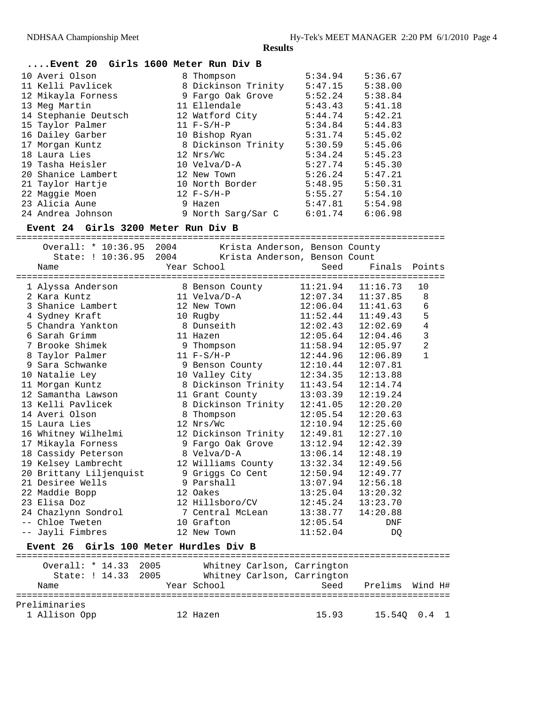Preliminaries

**Results**

## **....Event 20 Girls 1600 Meter Run Div B**

| 10 Averi Olson       | 8 Thompson          | 5:34.94 | 5:36.67 |
|----------------------|---------------------|---------|---------|
| 11 Kelli Pavlicek    | 8 Dickinson Trinity | 5:47.15 | 5:38.00 |
| 12 Mikayla Forness   | 9 Fargo Oak Grove   | 5:52.24 | 5:38.84 |
| 13 Meg Martin        | 11 Ellendale        | 5:43.43 | 5:41.18 |
| 14 Stephanie Deutsch | 12 Watford City     | 5:44.74 | 5:42.21 |
| 15 Taylor Palmer     | $11 F-S/H-P$        | 5:34.84 | 5:44.83 |
| 16 Dailey Garber     | 10 Bishop Ryan      | 5:31.74 | 5:45.02 |
| 17 Morgan Kuntz      | 8 Dickinson Trinity | 5:30.59 | 5:45.06 |
| 18 Laura Lies        | 12 Nrs/Wc           | 5:34.24 | 5:45.23 |
| 19 Tasha Heisler     | 10 Velva/D-A        | 5:27.74 | 5:45.30 |
| 20 Shanice Lambert   | 12 New Town         | 5:26.24 | 5:47.21 |
| 21 Taylor Hartje     | 10 North Border     | 5:48.95 | 5:50.31 |
| 22 Maggie Moen       | $12 F-S/H-P$        | 5:55.27 | 5:54.10 |
| 23 Alicia Aune       | 9 Hazen             | 5:47.81 | 5:54.98 |
| 24 Andrea Johnson    | 9 North Sarg/Sar C  | 6:01.74 | 6:06.98 |

## **Event 24 Girls 3200 Meter Run Div B**

================================================================================

| Overall: * 10:36.95                    | 2004 | Krista Anderson, Benson County |          |          |                |
|----------------------------------------|------|--------------------------------|----------|----------|----------------|
| State: ! 10:36.95                      | 2004 | Krista Anderson, Benson Count  |          |          |                |
| Name                                   |      | Year School                    | Seed     | Finals   | Points         |
| 1 Alyssa Anderson                      |      | 8 Benson County                | 11:21.94 | 11:16.73 | 10             |
| 2 Kara Kuntz                           |      | 11 Velva/D-A                   | 12:07.34 | 11:37.85 | 8              |
| 3 Shanice Lambert                      |      | 12 New Town                    | 12:06.04 | 11:41.63 | $6\,$          |
| 4 Sydney Kraft                         |      | 10 Rugby                       | 11:52.44 | 11:49.43 | 5              |
| 5 Chandra Yankton                      |      | 8 Dunseith                     | 12:02.43 | 12:02.69 | $\overline{4}$ |
| 6 Sarah Grimm                          |      | 11 Hazen                       | 12:05.64 | 12:04.46 | $\mathbf{3}$   |
| 7 Brooke Shimek                        |      | 9 Thompson                     | 11:58.94 | 12:05.97 | $\overline{a}$ |
| 8 Taylor Palmer                        |      | $11 F-S/H-P$                   | 12:44.96 | 12:06.89 | $\mathbf{1}$   |
| 9 Sara Schwanke                        |      | 9 Benson County                | 12:10.44 | 12:07.81 |                |
| 10 Natalie Ley                         |      | 10 Valley City                 | 12:34.35 | 12:13.88 |                |
| 11 Morgan Kuntz                        |      | 8 Dickinson Trinity 11:43.54   |          | 12:14.74 |                |
| 12 Samantha Lawson                     |      | 11 Grant County                | 13:03.39 | 12:19.24 |                |
| 13 Kelli Pavlicek                      |      | 8 Dickinson Trinity 12:41.05   |          | 12:20.20 |                |
| 14 Averi Olson                         |      | 8 Thompson                     | 12:05.54 | 12:20.63 |                |
| 15 Laura Lies                          |      | 12 Nrs/Wc                      | 12:10.94 | 12:25.60 |                |
| 16 Whitney Wilhelmi                    |      | 12 Dickinson Trinity           | 12:49.81 | 12:27.10 |                |
| 17 Mikayla Forness                     |      | 9 Fargo Oak Grove              | 13:12.94 | 12:42.39 |                |
| 18 Cassidy Peterson                    |      | 8 Velva/D-A                    | 13:06.14 | 12:48.19 |                |
| 19 Kelsey Lambrecht                    |      | 12 Williams County             | 13:32.34 | 12:49.56 |                |
| 20 Brittany Liljenquist                |      | 9 Griggs Co Cent               | 12:50.94 | 12:49.77 |                |
| 21 Desiree Wells                       |      | 9 Parshall                     | 13:07.94 | 12:56.18 |                |
| 22 Maddie Bopp                         |      | 12 Oakes                       | 13:25.04 | 13:20.32 |                |
| 23 Elisa Doz                           |      | 12 Hillsboro/CV                | 12:45.24 | 13:23.70 |                |
| 24 Chazlynn Sondrol                    |      | 7 Central McLean               | 13:38.77 | 14:20.88 |                |
| -- Chloe Tweten                        |      | 10 Grafton                     | 12:05.54 | DNF      |                |
| -- Jayli Fimbres                       |      | 12 New Town                    | 11:52.04 | DQ       |                |
| Event 26 Girls 100 Meter Hurdles Div B |      |                                |          |          |                |
| Overall: * 14.33 2005                  |      | Whitney Carlson, Carrington    |          |          |                |
| State: ! 14.33 2005                    |      | Whitney Carlson, Carrington    |          |          |                |
| Name                                   |      | Year School                    | Seed     | Prelims  | Wind H#        |
|                                        |      |                                |          |          |                |

1 Allison Opp 12 Hazen 15.93 15.54Q 0.4 1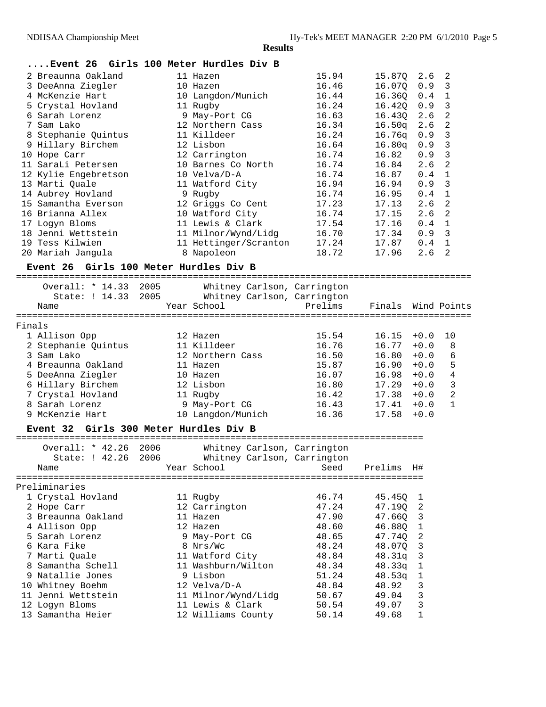#### **....Event 26 Girls 100 Meter Hurdles Div B**

|   | 2 Breaunna Oakland   |    | 11 Hazen              | 15.94 | 15.870             | 2.6 | 2              |
|---|----------------------|----|-----------------------|-------|--------------------|-----|----------------|
|   | 3 DeeAnna Ziegler    |    | 10 Hazen              | 16.46 | 16.070             | 0.9 | 3              |
|   | 4 McKenzie Hart      |    | 10 Langdon/Munich     | 16.44 | 16.360             | 0.4 | $\mathbf{1}$   |
|   | 5 Crystal Hovland    |    | 11 Rugby              | 16.24 | 16.420             | 0.9 | 3              |
|   | 6 Sarah Lorenz       |    | 9 May-Port CG         | 16.63 | 16.430             | 2.6 | 2              |
| 7 | Sam Lako             |    | 12 Northern Cass      | 16.34 | 16.50 <sub>q</sub> | 2.6 | 2              |
|   | 8 Stephanie Quintus  |    | 11 Killdeer           | 16.24 | 16.76a             | 0.9 | 3              |
|   | 9 Hillary Birchem    |    | 12 Lisbon             | 16.64 | 16.80q             | 0.9 | 3              |
|   | 10 Hope Carr         |    | 12 Carrington         | 16.74 | 16.82              | 0.9 | 3              |
|   | 11 SaraLi Petersen   |    | 10 Barnes Co North    | 16.74 | 16.84              | 2.6 | 2              |
|   | 12 Kylie Engebretson |    | 10 Velva/D-A          | 16.74 | 16.87              | 0.4 | $\mathbf{1}$   |
|   | 13 Marti Quale       |    | 11 Watford City       | 16.94 | 16.94              | 0.9 | 3              |
|   | 14 Aubrey Hovland    |    | 9 Rugby               | 16.74 | 16.95              | 0.4 | $\mathbf{1}$   |
|   | 15 Samantha Everson  |    | 12 Griggs Co Cent     | 17.23 | 17.13              | 2.6 | 2              |
|   | 16 Brianna Allex     | 10 | Watford City          | 16.74 | 17.15              | 2.6 | 2              |
|   | 17 Loqyn Bloms       | 11 | Lewis & Clark         | 17.54 | 17.16              | 0.4 | $\mathbf{1}$   |
|   | 18 Jenni Wettstein   |    | 11 Milnor/Wynd/Lidg   | 16.70 | 17.34              | 0.9 | $\mathcal{R}$  |
|   | 19 Tess Kilwien      |    | 11 Hettinger/Scranton | 17.24 | 17.87              | 0.4 | $\overline{1}$ |
|   | 20 Mariah Janqula    |    | 8 Napoleon            | 18.72 | 17.96              | 2.6 | 2              |
|   |                      |    |                       |       |                    |     |                |

#### **Event 26 Girls 100 Meter Hurdles Div B**

===================================================================================== Overall: \* 14.33 2005 Whitney Carlson, Carrington State: ! 14.33 2005 Whitney Carlson, Carrington Name Year School Prelims Finals Wind Points ===================================================================================== Finals 1 Allison Opp 12 Hazen 15.54 16.15 +0.0 10 2 Stephanie Quintus 11 Killdeer 16.76 16.77 +0.0 8 3 Sam Lako 12 Northern Cass 16.50 16.80 +0.0 6 4 Breaunna Oakland 11 Hazen 15.87 16.90 +0.0 5 5 DeeAnna Ziegler 10 Hazen 16.07 16.98 +0.0 4 6 Hillary Birchem 12 Lisbon 16.80 17.29 +0.0 3 7 Crystal Hovland 11 Rugby 16.42 17.38 +0.0 2 8 Sarah Lorenz 9 May-Port CG 16.43 17.41 +0.0 1 9 McKenzie Hart 10 Langdon/Munich 16.36 17.58 +0.0

#### **Event 32 Girls 300 Meter Hurdles Div B**

============================================================================ Overall: \* 42.26 2006 Whitney Carlson, Carrington State: ! 42.26 2006 Whitney Carlson, Carrington Name Seed Prelims H# ============================================================================ Preliminaries 1 Crystal Hovland 11 Rugby 46.74 45.45Q 1 2 Hope Carr 12 Carrington 47.24 47.19Q 2 3 Breaunna Oakland 11 Hazen 47.90 47.66Q 3 4 Allison Opp 12 Hazen 48.60 46.88Q 1 5 Sarah Lorenz 9 May-Port CG 48.65 47.74Q 2 6 Kara Fike 8 Nrs/Wc 48.24 48.07Q 3 7 Marti Quale 11 Watford City 48.84 48.31q 3 8 Samantha Schell 11 Washburn/Wilton 48.34 48.33q 1 9 Natallie Jones 9 Lisbon 51.24 48.53q 1 10 Whitney Boehm 12 Velva/D-A 48.84 48.92 3 11 Jenni Wettstein 11 Milnor/Wynd/Lidg 50.67 49.04 3 12 Logyn Bloms 11 Lewis & Clark 50.54 49.07 3 13 Samantha Heier 12 Williams County 50.14 49.68 1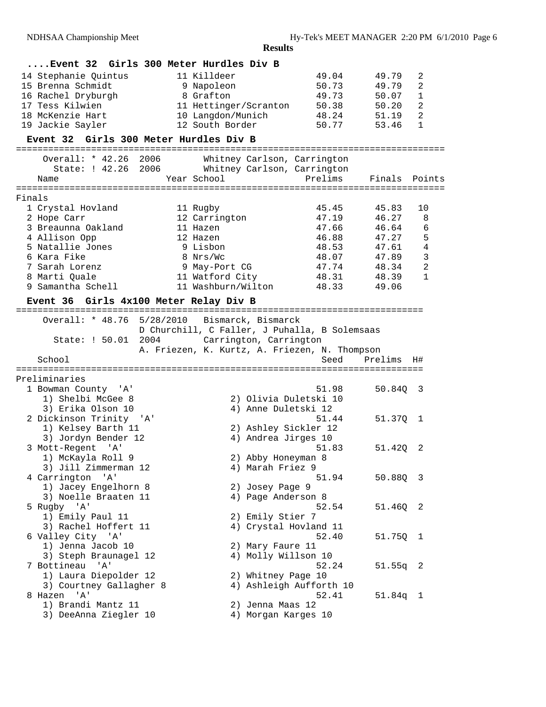|        |                                             |           | Event 32 Girls 300 Meter Hurdles Div B        |                                         |               |                |
|--------|---------------------------------------------|-----------|-----------------------------------------------|-----------------------------------------|---------------|----------------|
|        | 14 Stephanie Quintus                        |           | 11 Killdeer                                   | 49.04                                   | 49.79         | 2              |
|        | 15 Brenna Schmidt                           |           | 9 Napoleon                                    | 50.73                                   | 49.79         | 2              |
|        | 16 Rachel Dryburgh                          |           | 8 Grafton                                     | 49.73                                   | 50.07         | 1              |
|        | 17 Tess Kilwien                             |           | 11 Hettinger/Scranton                         | 50.38                                   | 50.20         | 2              |
|        | 18 McKenzie Hart                            |           | 10 Langdon/Munich                             | 48.24                                   | 51.19         | 2              |
|        | 19 Jackie Sayler                            |           | 12 South Border                               | 50.77                                   | 53.46         | $\mathbf{1}$   |
|        | Event 32 Girls 300 Meter Hurdles Div B      |           |                                               |                                         |               |                |
|        |                                             |           |                                               |                                         |               |                |
|        | Overall: * 42.26 2006                       |           |                                               | Whitney Carlson, Carrington             |               |                |
|        | State: ! 42.26                              |           | 2006 Whitney Carlson, Carrington              |                                         |               |                |
|        | Name                                        |           | Year School                                   | Prelims                                 | Finals Points |                |
|        |                                             |           |                                               |                                         |               |                |
| Finals |                                             |           |                                               | 45.45                                   | 45.83         | 10             |
|        | 1 Crystal Hovland                           |           | 11 Rugby                                      |                                         |               |                |
|        | 2 Hope Carr                                 |           | 12 Carrington                                 | 47.19                                   | 46.27         | 8              |
|        | 3 Breaunna Oakland                          |           | 11 Hazen                                      | 47.66                                   | 46.64         | 6              |
|        | 4 Allison Opp                               |           | 12 Hazen                                      | 46.88                                   | 47.27         | 5              |
|        | 5 Natallie Jones                            |           | 9 Lisbon                                      | 48.53                                   | 47.61         | 4              |
|        | 6 Kara Fike                                 |           | 8 Nrs/Wc                                      | 48.07                                   | 47.89         | 3              |
|        | 7 Sarah Lorenz                              |           | 9 May-Port CG                                 | 47.74                                   | 48.34         | $\overline{2}$ |
|        | 8 Marti Quale                               |           | 11 Watford City                               | 48.31                                   | 48.39         | $\mathbf{1}$   |
|        | 9 Samantha Schell                           |           | 11 Washburn/Wilton                            | 48.33                                   | 49.06         |                |
|        | Event 36                                    |           | Girls 4x100 Meter Relay Div B                 |                                         |               |                |
|        |                                             |           |                                               |                                         |               |                |
|        | Overall: * 48.76                            | 5/28/2010 | Bismarck, Bismarck                            |                                         |               |                |
|        |                                             |           | D Churchill, C Faller, J Puhalla, B Solemsaas |                                         |               |                |
|        | State: ! 50.01                              | 2004      | Carrington, Carrington                        |                                         |               |                |
|        |                                             |           |                                               |                                         |               |                |
|        |                                             |           | A. Friezen, K. Kurtz, A. Friezen, N. Thompson |                                         |               |                |
|        | School                                      |           |                                               | Seed                                    | Prelims       | H#             |
|        |                                             |           |                                               |                                         |               |                |
|        | Preliminaries                               |           |                                               |                                         |               |                |
|        | 1 Bowman County 'A'                         |           |                                               | 51.98                                   | 50.840        | - 3            |
|        | 1) Shelbi McGee 8                           |           |                                               | 2) Olivia Duletski 10                   |               |                |
|        | 3) Erika Olson 10                           |           |                                               | 4) Anne Duletski 12                     |               |                |
|        | 2 Dickinson Trinity                         | ' A '     |                                               | 51.44                                   | 51.37Q 1      |                |
|        | 1) Kelsey Barth 11                          |           |                                               | 2) Ashley Sickler 12                    |               |                |
|        | 3) Jordyn Bender 12                         |           |                                               | 4) Andrea Jirges 10                     |               |                |
|        | 3 Mott-Regent 'A'                           |           |                                               | 51.83                                   | 51.420        | 2              |
|        | 1) McKayla Roll 9                           |           |                                               | 2) Abby Honeyman 8                      |               |                |
|        | 3) Jill Zimmerman 12                        |           |                                               | 4) Marah Friez 9                        |               |                |
|        | 4 Carrington 'A'                            |           |                                               | 51.94                                   | 50.88Q        | - 3            |
|        | 1) Jacey Engelhorn 8                        |           |                                               | 2) Josey Page 9                         |               |                |
|        | 3) Noelle Braaten 11                        |           |                                               | 4) Page Anderson 8                      |               |                |
|        | 5 Rugby 'A'                                 |           |                                               | 52.54                                   | 51.46Q 2      |                |
|        |                                             |           |                                               |                                         |               |                |
|        | 1) Emily Paul 11                            |           |                                               | 2) Emily Stier 7                        |               |                |
|        | 3) Rachel Hoffert 11                        |           |                                               | 4) Crystal Hovland 11<br>52.40          |               |                |
|        | 6 Valley City 'A'                           |           |                                               |                                         | 51.75Q        | $\mathbf{1}$   |
|        | 1) Jenna Jacob 10                           |           |                                               | 2) Mary Faure 11                        |               |                |
|        | 3) Steph Braunagel 12                       |           |                                               | 4) Molly Willson 10                     |               |                |
|        | 7 Bottineau<br>' A '                        |           |                                               | 52.24                                   | $51.55q$ 2    |                |
|        | 1) Laura Diepolder 12                       |           |                                               | 2) Whitney Page 10                      |               |                |
|        | 3) Courtney Gallagher 8                     |           |                                               | 4) Ashleigh Aufforth 10                 |               |                |
|        | ' A '<br>8 Hazen                            |           |                                               | 52.41                                   | 51.84q 1      |                |
|        | 1) Brandi Mantz 11<br>3) DeeAnna Ziegler 10 |           |                                               | 2) Jenna Maas 12<br>4) Morgan Karges 10 |               |                |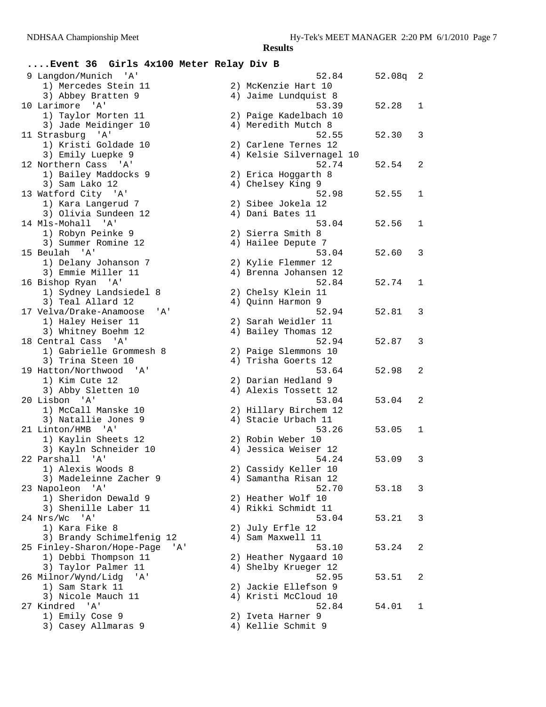## **....Event 36 Girls 4x100 Meter Relay Div B**

| 9 Langdon/Munich 'A'                               | 52.84                    | 52.08q | 2 |
|----------------------------------------------------|--------------------------|--------|---|
| 1) Mercedes Stein 11                               | 2) McKenzie Hart 10      |        |   |
| 3) Abbey Bratten 9                                 | 4) Jaime Lundquist 8     |        |   |
| 10 Larimore<br>' A '                               | 53.39                    | 52.28  | 1 |
| 1) Taylor Morten 11                                | 2) Paige Kadelbach 10    |        |   |
| 3) Jade Meidinger 10                               | 4) Meredith Mutch 8      |        |   |
| 11 Strasburg 'A'                                   | 52.55                    | 52.30  | 3 |
| 1) Kristi Goldade 10                               | 2) Carlene Ternes 12     |        |   |
| 3) Emily Luepke 9                                  | 4) Kelsie Silvernagel 10 |        |   |
| 12 Northern Cass 'A'                               | 52.74                    | 52.54  | 2 |
| 1) Bailey Maddocks 9                               | 2) Erica Hoggarth 8      |        |   |
| 3) Sam Lako 12                                     | 4) Chelsey King 9        |        |   |
| 13 Watford City 'A'                                | 52.98                    | 52.55  | 1 |
| 1) Kara Langerud 7                                 | 2) Sibee Jokela 12       |        |   |
| 3) Olivia Sundeen 12                               | 4) Dani Bates 11         |        |   |
| 14 Mls-Mohall<br>' A '                             | 53.04                    | 52.56  | 1 |
| 1) Robyn Peinke 9                                  | 2) Sierra Smith 8        |        |   |
| 3) Summer Romine 12                                | 4) Hailee Depute 7       |        |   |
| 15 Beulah 'A'                                      | 53.04                    | 52.60  | 3 |
| 1) Delany Johanson 7                               | 2) Kylie Flemmer 12      |        |   |
| 3) Emmie Miller 11                                 | 4) Brenna Johansen 12    |        |   |
| 16 Bishop Ryan 'A'                                 | 52.84                    | 52.74  | 1 |
| 1) Sydney Landsiedel 8                             | 2) Chelsy Klein 11       |        |   |
| 3) Teal Allard 12                                  | 4) Quinn Harmon 9        |        |   |
| 17 Velva/Drake-Anamoose<br>'A'                     | 52.94                    | 52.81  | 3 |
| 1) Haley Heiser 11                                 | 2) Sarah Weidler 11      |        |   |
| 3) Whitney Boehm 12                                | 4) Bailey Thomas 12      |        |   |
| 18 Central Cass<br>'' A '                          | 52.94                    | 52.87  | 3 |
| 1) Gabrielle Grommesh 8                            | 2) Paige Slemmons 10     |        |   |
| 3) Trina Steen 10                                  | 4) Trisha Goerts 12      |        |   |
| 19 Hatton/Northwood 'A'                            | 53.64                    | 52.98  | 2 |
| 1) Kim Cute 12                                     | 2) Darian Hedland 9      |        |   |
| 3) Abby Sletten 10                                 | 4) Alexis Tossett 12     |        |   |
| 20 Lisbon 'A'                                      | 53.04                    | 53.04  | 2 |
| 1) McCall Manske 10                                | 2) Hillary Birchem 12    |        |   |
| 3) Natallie Jones 9                                | 4) Stacie Urbach 11      |        |   |
| 21 Linton/HMB 'A'                                  | 53.26                    | 53.05  | 1 |
| 1) Kaylin Sheets 12                                | 2) Robin Weber 10        |        |   |
| 3) Kayln Schneider 10                              | 4) Jessica Weiser 12     |        |   |
| 22 Parshall<br>' A '                               | 54.24                    | 53.09  | 3 |
| 1) Alexis Woods 8                                  | 2) Cassidy Keller 10     |        |   |
| 3) Madeleinne Zacher 9                             | 4) Samantha Risan 12     |        |   |
| 23 Napoleon 'A'                                    | 52.70                    | 53.18  | 3 |
| 1) Sheridon Dewald 9                               | 2) Heather Wolf 10       |        |   |
| 3) Shenille Laber 11                               | 4) Rikki Schmidt 11      |        |   |
| $^{\prime}$ A $^{\prime}$<br>24 Nrs/Wc             | 53.04                    | 53.21  | 3 |
| 1) Kara Fike 8                                     | 2) July Erfle 12         |        |   |
| 3) Brandy Schimelfenig 12                          | 4) Sam Maxwell 11        |        |   |
| 25 Finley-Sharon/Hope-Page<br>'A'                  | 53.10                    | 53.24  | 2 |
| 1) Debbi Thompson 11                               | 2) Heather Nygaard 10    |        |   |
| 3) Taylor Palmer 11                                | 4) Shelby Krueger 12     |        |   |
| 26 Milnor/Wynd/Lidg<br>'A'                         | 52.95                    | 53.51  | 2 |
| 1) Sam Stark 11                                    | 2) Jackie Ellefson 9     |        |   |
| 3) Nicole Mauch 11                                 | 4) Kristi McCloud 10     |        |   |
| 27 Kindred 'A'                                     | 52.84                    | 54.01  | 1 |
| 1) Emily Cose 9                                    | 2) Iveta Harner 9        |        |   |
| $21$ Cogour $\lambda$ <sup>11</sup> morog $\Omega$ | $11 V_0$ llio Cabmit Q   |        |   |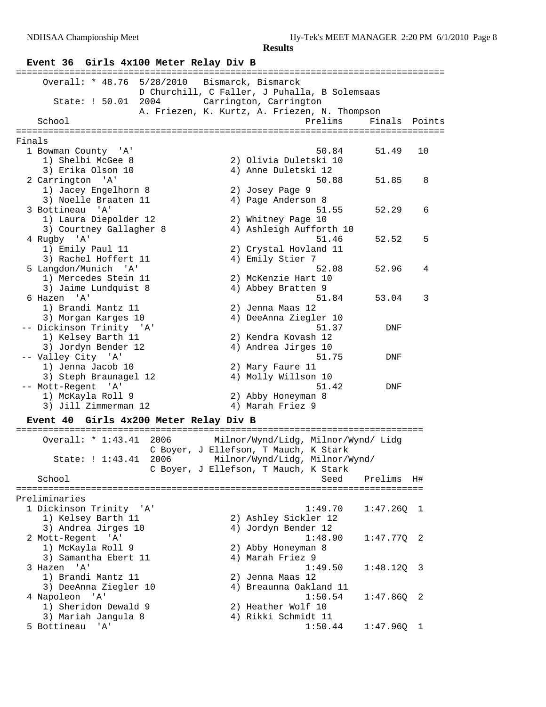# **Event 36 Girls 4x100 Meter Relay Div B**

| ============                                     | ==========                                               |               |
|--------------------------------------------------|----------------------------------------------------------|---------------|
| Overall: * 48.76                                 | 5/28/2010 Bismarck, Bismarck                             |               |
|                                                  | D Churchill, C Faller, J Puhalla, B Solemsaas            |               |
| 2004<br>State: ! 50.01                           | Carrington, Carrington                                   |               |
| School                                           | A. Friezen, K. Kurtz, A. Friezen, N. Thompson<br>Prelims | Finals Points |
| Finals                                           |                                                          |               |
| 1 Bowman County 'A'                              | 50.84                                                    | 51.49<br>10   |
| 1) Shelbi McGee 8                                | 2) Olivia Duletski 10                                    |               |
| 3) Erika Olson 10                                | 4) Anne Duletski 12                                      |               |
| 2 Carrington<br>' A '                            | 50.88                                                    | 51.85<br>8    |
| 1) Jacey Engelhorn 8                             | 2) Josey Page 9                                          |               |
| 3) Noelle Braaten 11                             | 4) Page Anderson 8                                       |               |
| 3 Bottineau<br>$\overline{A}$                    | 51.55                                                    | 52.29<br>6    |
| 1) Laura Diepolder 12                            | 2) Whitney Page 10                                       |               |
| 3) Courtney Gallagher 8                          | 4) Ashleigh Aufforth 10                                  |               |
| 4 Rugby 'A'                                      | 51.46                                                    | 5<br>52.52    |
| 1) Emily Paul 11                                 | 2) Crystal Hovland 11                                    |               |
| 3) Rachel Hoffert 11                             | 4) Emily Stier 7<br>52.08                                | 4             |
| 5 Langdon/Munich 'A'<br>1) Mercedes Stein 11     | 2) McKenzie Hart 10                                      | 52.96         |
| 3) Jaime Lundquist 8                             | 4) Abbey Bratten 9                                       |               |
| 6 Hazen 'A'                                      | 51.84                                                    | 53.04<br>3    |
| 1) Brandi Mantz 11                               | 2) Jenna Maas 12                                         |               |
| 3) Morgan Karges 10                              | 4) DeeAnna Ziegler 10                                    |               |
| -- Dickinson Trinity 'A'                         | 51.37                                                    | DNF           |
| 1) Kelsey Barth 11                               | 2) Kendra Kovash 12                                      |               |
| 3) Jordyn Bender 12                              | 4) Andrea Jirges 10                                      |               |
| -- Valley City 'A'                               | 51.75                                                    | DNF           |
| 1) Jenna Jacob 10                                | 2) Mary Faure 11                                         |               |
| 3) Steph Braunagel 12                            | 4) Molly Willson 10                                      |               |
| -- Mott-Regent 'A'                               | 51.42                                                    | DNF           |
| 1) McKayla Roll 9                                | 2) Abby Honeyman 8                                       |               |
| 3) Jill Zimmerman 12                             | 4) Marah Friez 9                                         |               |
| Girls 4x200 Meter Relay Div B<br><b>Event 40</b> |                                                          |               |
| Overall: * 1:43.41<br>2006                       | Milnor/Wynd/Lidg, Milnor/Wynd/ Lidg                      |               |
|                                                  | C Boyer, J Ellefson, T Mauch, K Stark                    |               |
| State: ! 1:43.41<br>2006                         | Milnor/Wynd/Lidg, Milnor/Wynd/                           |               |
|                                                  | C Boyer, J Ellefson, T Mauch, K Stark                    |               |
| School                                           | Seed                                                     | Prelims<br>H# |
| Preliminaries                                    |                                                          |               |
| 1 Dickinson Trinity<br>'' A '                    | 1:49.70                                                  | 1:47.260<br>1 |
| 1) Kelsey Barth 11                               | 2) Ashley Sickler 12                                     |               |

| Preliminaries           |                         |  |
|-------------------------|-------------------------|--|
| 1 Dickinson Trinity 'A' | 1:49.70<br>$1:47.260$ 1 |  |
| 1) Kelsey Barth 11      | 2) Ashley Sickler 12    |  |
| 3) Andrea Jirges 10     | 4) Jordyn Bender 12     |  |
| 2 Mott-Regent 'A'       | 1:48.90<br>$1:47.770$ 2 |  |
| 1) McKayla Roll 9       | 2) Abby Honeyman 8      |  |
| 3) Samantha Ebert 11    | 4) Marah Friez 9        |  |
| 3 Hazen 'A'             | 1:49.50<br>$1:48.120$ 3 |  |
| 1) Brandi Mantz 11      | 2) Jenna Maas 12        |  |
| 3) DeeAnna Ziegler 10   | 4) Breaunna Oakland 11  |  |
| 4 Napoleon 'A'          | $1:47.860$ 2<br>1:50.54 |  |
| 1) Sheridon Dewald 9    | 2) Heather Wolf 10      |  |
| 3) Mariah Janqula 8     | 4) Rikki Schmidt 11     |  |
|                         |                         |  |

5 Bottineau 'A' 1:50.44 1:47.96Q 1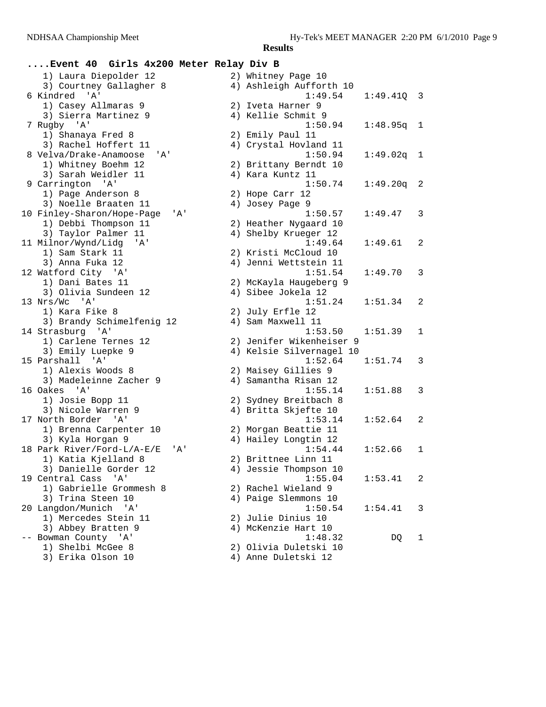## **....Event 40 Girls 4x200 Meter Relay Div B** 1) Laura Diepolder 12 2) Whitney Page 10 3) Courtney Gallagher 8 6 Kindred 'A'

1) Casey Allmaras 9 3) Sierra Martinez 9 7 Rugby 'A' 1) Shanaya Fred 8 3) Rachel Hoffert 11 8 Velva/Drake-Anamoose 'A' 1) Whitney Boehm 12 3) Sarah Weidler 11 9 Carrington 'A' 1) Page Anderson 8 3) Noelle Braaten 11 10 Finley-Sharon/Hope-Page 'A 1) Debbi Thompson 11 3) Taylor Palmer 11 11 Milnor/Wynd/Lidg 'A' 1) Sam Stark 11 3) Anna Fuka 12 12 Watford City 'A' 1) Dani Bates 11 3) Olivia Sundeen 12 13 Nrs/Wc 'A' 1) Kara Fike 8 3) Brandy Schimelfenig 12 14 Strasburg 'A' 1) Carlene Ternes 12 3) Emily Luepke 9 15 Parshall 'A' 1) Alexis Woods 8 3) Madeleinne Zacher 9 16 Oakes 'A' 1) Josie Bopp 11 3) Nicole Warren 9 17 North Border 'A' 1) Brenna Carpenter 10 3) Kyla Horgan 9 18 Park River/Ford-L/A-E/E 'A 1) Katia Kjelland 8 3) Danielle Gorder 12 19 Central Cass 'A' 1) Gabrielle Grommesh 8 3) Trina Steen 10 20 Langdon/Munich 'A' 1) Mercedes Stein 11 3) Abbey Bratten 9 -- Bowman County 'A' 1) Shelbi McGee 8 3) Erika Olson 10

|    | z) wurtuey rage ro       |          |   |
|----|--------------------------|----------|---|
| 4) | Ashleigh Aufforth 10     |          |   |
|    | 1:49.54                  | 1:49.41Q | 3 |
| 2) | Iveta Harner 9           |          |   |
| 4) | Kellie Schmit 9          |          |   |
|    | 1:50.94                  |          |   |
|    |                          | 1:48.95q | 1 |
| 2) | Emily Paul 11            |          |   |
|    | 4) Crystal Hovland 11    |          |   |
|    | 1:50.94                  | 1:49.02q | 1 |
| 2) | Brittany Berndt 10       |          |   |
| 4) | Kara Kuntz 11            |          |   |
|    | 1:50.74                  | 1:49.20q | 2 |
| 2) | Hope Carr 12             |          |   |
|    |                          |          |   |
| 4) | Josey Page 9             |          |   |
|    | 1:50.57                  | 1:49.47  | 3 |
| 2) | Heather Nygaard 10       |          |   |
| 4) | Shelby Krueger 12        |          |   |
|    | 1:49.64                  | 1:49.61  | 2 |
| 2) | Kristi McCloud 10        |          |   |
| 4) | Jenni Wettstein 11       |          |   |
|    | 1:51.54                  | 1:49.70  | 3 |
|    |                          |          |   |
|    | 2) McKayla Haugeberg 9   |          |   |
| 4) | Sibee Jokela 12          |          |   |
|    | 1:51.24                  | 1:51.34  | 2 |
|    | 2) July Erfle 12         |          |   |
| 4) | Sam Maxwell 11           |          |   |
|    | 1:53.50                  | 1:51.39  | 1 |
|    | 2) Jenifer Wikenheiser 9 |          |   |
| 4) | Kelsie Silvernagel 10    |          |   |
|    | 1:52.64                  |          |   |
|    |                          | 1:51.74  | 3 |
| 2) | Maisey Gillies 9         |          |   |
| 4) | Samantha Risan 12        |          |   |
|    | 1:55.14                  | 1:51.88  | 3 |
|    | 2) Sydney Breitbach 8    |          |   |
| 4) | Britta Skjefte 10        |          |   |
|    | 1:53.14                  | 1:52.64  | 2 |
| 2) | Morgan Beattie 11        |          |   |
| 4) | Hailey Longtin 12        |          |   |
|    |                          |          |   |
|    | 1:54.44                  | 1:52.66  | 1 |
|    | 2) Brittnee Linn 11      |          |   |
|    | 4) Jessie Thompson 10    |          |   |
|    | 1:55.04                  | 1:53.41  | 2 |
|    | 2) Rachel Wieland 9      |          |   |
| 4) | Paige Slemmons 10        |          |   |
|    | 1:50.54                  | 1:54.41  | 3 |
| 2) | Julie Dinius 10          |          |   |
|    |                          |          |   |
| 4) | McKenzie Hart 10         |          |   |
|    | 1:48.32                  | DQ       | 1 |
| 2) | Olivia Duletski 10       |          |   |
|    | 4) Anne Duletski 12      |          |   |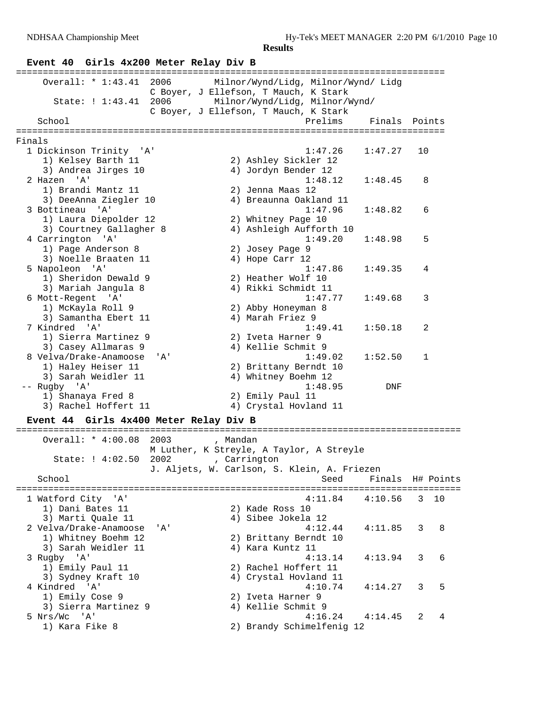## **Event 40 Girls 4x200 Meter Relay Div B**

| Overall: * 1:43.41<br>2006             | Milnor/Wynd/Lidg, Milnor/Wynd/ Lidg                      |  |
|----------------------------------------|----------------------------------------------------------|--|
|                                        | C Boyer, J Ellefson, T Mauch, K Stark                    |  |
| State: ! 1:43.41                       | 2006 Milnor/Wynd/Lidg, Milnor/Wynd/                      |  |
|                                        | C Boyer, J Ellefson, T Mauch, K Stark                    |  |
| School                                 | Prelims<br>Finals<br>Points                              |  |
|                                        |                                                          |  |
| Finals                                 |                                                          |  |
| 1 Dickinson Trinity 'A'                | 1:47.26<br>1:47.27<br>10                                 |  |
| 1) Kelsey Barth 11                     | 2) Ashley Sickler 12                                     |  |
| 3) Andrea Jirges 10                    | 4) Jordyn Bender 12                                      |  |
| 2 Hazen 'A'                            | 1:48.12<br>1:48.45<br>8                                  |  |
| 1) Brandi Mantz 11                     | 2) Jenna Maas 12                                         |  |
| 3) DeeAnna Ziegler 10                  | 4) Breaunna Oakland 11                                   |  |
| 3 Bottineau 'A'                        | 1:47.96<br>1:48.82<br>6                                  |  |
| 1) Laura Diepolder 12                  | 2) Whitney Page 10                                       |  |
| 3) Courtney Gallagher 8                | 4) Ashleigh Aufforth 10                                  |  |
| 4 Carrington 'A'                       | 1:49.20<br>5<br>1:48.98                                  |  |
| 1) Page Anderson 8                     | 2) Josey Page 9                                          |  |
| 3) Noelle Braaten 11                   | 4) Hope Carr 12                                          |  |
| 5 Napoleon 'A'                         | 1:47.86<br>1:49.35<br>4                                  |  |
| 1) Sheridon Dewald 9                   | 2) Heather Wolf 10                                       |  |
| 3) Mariah Jangula 8                    | 4) Rikki Schmidt 11                                      |  |
| 6 Mott-Regent 'A'                      | 1:47.77<br>1:49.68<br>3                                  |  |
| 1) McKayla Roll 9                      | 2) Abby Honeyman 8                                       |  |
| 3) Samantha Ebert 11<br>7 Kindred 'A'  | 4) Marah Friez 9<br>1:49.41<br>2                         |  |
| 1) Sierra Martinez 9                   | 1:50.18<br>2) Iveta Harner 9                             |  |
| 3) Casey Allmaras 9                    | 4) Kellie Schmit 9                                       |  |
| 8 Velva/Drake-Anamoose<br>'A'          | 1:49.02<br>1:52.50<br>1                                  |  |
| 1) Haley Heiser 11                     | 2) Brittany Berndt 10                                    |  |
| 3) Sarah Weidler 11                    | 4) Whitney Boehm 12                                      |  |
| -- Rugby 'A'                           | 1:48.95<br>DNF                                           |  |
| 1) Shanaya Fred 8                      | 2) Emily Paul 11                                         |  |
| 3) Rachel Hoffert 11                   | 4) Crystal Hovland 11                                    |  |
|                                        |                                                          |  |
| Event 44 Girls 4x400 Meter Relay Div B |                                                          |  |
|                                        | ------------                                             |  |
| Overall: * 4:00.08<br>2003             | , Mandan                                                 |  |
| State: ! 4:02.50<br>2002               | M Luther, K Streyle, A Taylor, A Streyle<br>, Carrington |  |
|                                        | J. Aljets, W. Carlson, S. Klein, A. Friezen              |  |
| School                                 | Seed<br>Finals<br>H# Points                              |  |
|                                        |                                                          |  |
| 1 Watford City 'A'                     | 4:11.84<br>3<br>4:10.56<br>10                            |  |
| 1) Dani Bates 11                       | 2) Kade Ross 10                                          |  |
| 3) Marti Quale 11                      | 4) Sibee Jokela 12                                       |  |
| 2 Velva/Drake-Anamoose<br>'A'          | 4:12.44<br>4:11.85<br>3<br>8                             |  |
| 1) Whitney Boehm 12                    | 2) Brittany Berndt 10                                    |  |
| 3) Sarah Weidler 11                    | 4) Kara Kuntz 11                                         |  |
| 3 Rugby 'A'                            | 4:13.14<br>6<br>3<br>4:13.94                             |  |
| 1) Emily Paul 11                       | 2) Rachel Hoffert 11                                     |  |
| 3) Sydney Kraft 10                     | 4) Crystal Hovland 11                                    |  |
| 4 Kindred 'A'                          | 4:10.74<br>5<br>4:14.27<br>3                             |  |
| 1) Emily Cose 9                        | 2) Iveta Harner 9                                        |  |
| 3) Sierra Martinez 9                   | 4) Kellie Schmit 9                                       |  |
| 5 Nrs/Wc<br>' A'                       | 4:16.24<br>4<br>4:14.45<br>2                             |  |

1) Kara Fike 8 2) Brandy Schimelfenig 12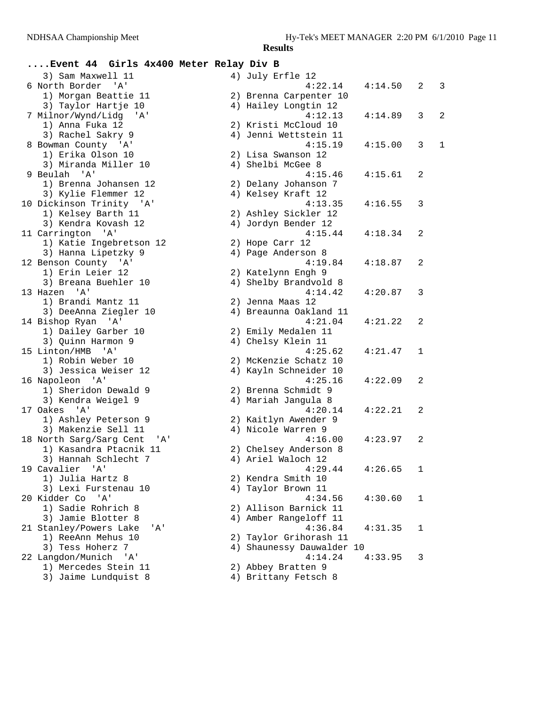| Event 44 Girls 4x400 Meter Relay Div B      |                           |         |   |                |
|---------------------------------------------|---------------------------|---------|---|----------------|
| 3) Sam Maxwell 11                           | 4) July Erfle 12          |         |   |                |
| 6 North Border<br>$^{\prime}$ A $^{\prime}$ | 4:22.14                   | 4:14.50 | 2 | 3              |
| 1) Morgan Beattie 11                        | 2) Brenna Carpenter 10    |         |   |                |
| 3) Taylor Hartje 10                         | 4) Hailey Longtin 12      |         |   |                |
| 7 Milnor/Wynd/Lidg<br>'' A '                | 4:12.13                   | 4:14.89 | 3 | $\overline{2}$ |
| 1) Anna Fuka 12                             | 2) Kristi McCloud 10      |         |   |                |
| 3) Rachel Sakry 9                           | 4) Jenni Wettstein 11     |         |   |                |
| 8 Bowman County 'A'                         | 4:15.19                   | 4:15.00 | 3 | 1              |
| 1) Erika Olson 10                           | 2) Lisa Swanson 12        |         |   |                |
| 3) Miranda Miller 10                        | 4) Shelbi McGee 8         |         |   |                |
| 9 Beulah 'A'                                | 4:15.46                   | 4:15.61 | 2 |                |
| 1) Brenna Johansen 12                       | 2) Delany Johanson 7      |         |   |                |
| 3) Kylie Flemmer 12                         | 4) Kelsey Kraft 12        |         |   |                |
| 10 Dickinson Trinity 'A'                    | 4:13.35                   | 4:16.55 | 3 |                |
| 1) Kelsey Barth 11                          | 2) Ashley Sickler 12      |         |   |                |
| 3) Kendra Kovash 12                         | 4) Jordyn Bender 12       |         |   |                |
| 11 Carrington 'A'                           | 4:15.44                   | 4:18.34 | 2 |                |
|                                             |                           |         |   |                |
| 1) Katie Ingebretson 12                     | 2) Hope Carr 12           |         |   |                |
| 3) Hanna Lipetzky 9                         | 4) Page Anderson 8        |         |   |                |
| 12 Benson County 'A'                        | 4:19.84                   | 4:18.87 | 2 |                |
| 1) Erin Leier 12                            | 2) Katelynn Engh 9        |         |   |                |
| 3) Breana Buehler 10                        | 4) Shelby Brandvold 8     |         |   |                |
| 13 Hazen 'A'                                | 4:14.42                   | 4:20.87 | 3 |                |
| 1) Brandi Mantz 11                          | 2) Jenna Maas 12          |         |   |                |
| 3) DeeAnna Ziegler 10                       | 4) Breaunna Oakland 11    |         |   |                |
| 14 Bishop Ryan 'A'                          | 4:21.04                   | 4:21.22 | 2 |                |
| 1) Dailey Garber 10                         | 2) Emily Medalen 11       |         |   |                |
| 3) Quinn Harmon 9                           | 4) Chelsy Klein 11        |         |   |                |
| 15 Linton/HMB<br>' A '                      | 4:25.62                   | 4:21.47 | 1 |                |
| 1) Robin Weber 10                           | 2) McKenzie Schatz 10     |         |   |                |
| 3) Jessica Weiser 12                        | 4) Kayln Schneider 10     |         |   |                |
| 16 Napoleon 'A'                             | 4:25.16                   | 4:22.09 | 2 |                |
| 1) Sheridon Dewald 9                        | 2) Brenna Schmidt 9       |         |   |                |
| 3) Kendra Weigel 9                          | 4) Mariah Jangula 8       |         |   |                |
| 17 Oakes 'A'                                | 4:20.14                   | 4:22.21 | 2 |                |
| 1) Ashley Peterson 9                        | 2) Kaitlyn Awender 9      |         |   |                |
| 3) Makenzie Sell 11                         | 4) Nicole Warren 9        |         |   |                |
| 18 North Sarg/Sarg Cent<br>'A'              | 4:16.00                   | 4:23.97 | 2 |                |
| 1) Kasandra Ptacnik 11                      | 2) Chelsey Anderson 8     |         |   |                |
| 3) Hannah Schlecht 7                        | 4) Ariel Waloch 12        |         |   |                |
| 19 Cavalier 'A'                             | 4:29.44                   | 4:26.65 | 1 |                |
| 1) Julia Hartz 8                            | 2) Kendra Smith 10        |         |   |                |
| 3) Lexi Furstenau 10                        | 4) Taylor Brown 11        |         |   |                |
| 20 Kidder Co 'A'                            | 4:34.56                   | 4:30.60 | 1 |                |
| 1) Sadie Rohrich 8                          | 2) Allison Barnick 11     |         |   |                |
| 3) Jamie Blotter 8                          | 4) Amber Rangeloff 11     |         |   |                |
| 21 Stanley/Powers Lake<br>'A'               | 4:36.84                   | 4:31.35 | 1 |                |
| 1) ReeAnn Mehus 10                          | 2) Taylor Grihorash 11    |         |   |                |
| 3) Tess Hoherz 7                            | 4) Shaunessy Dauwalder 10 |         |   |                |
| 22 Langdon/Munich 'A'                       | 4:14.24                   | 4:33.95 | 3 |                |
| 1) Mercedes Stein 11                        |                           |         |   |                |
|                                             | 2) Abbey Bratten 9        |         |   |                |
| 3) Jaime Lundquist 8                        | 4) Brittany Fetsch 8      |         |   |                |
|                                             |                           |         |   |                |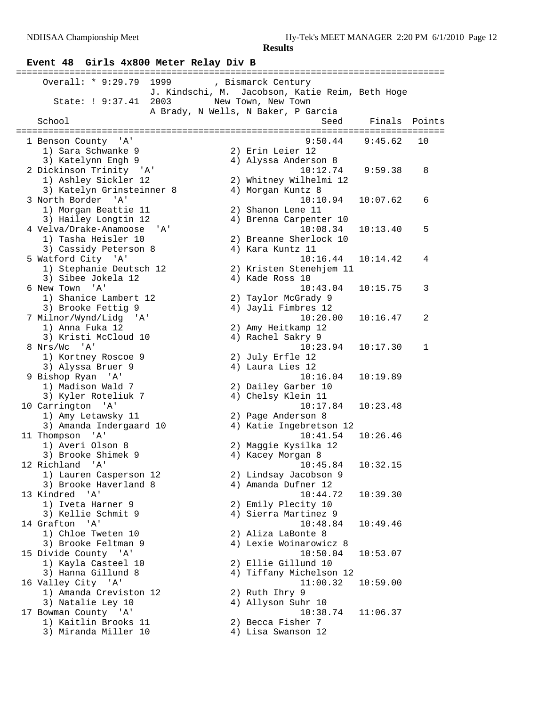# **Event 48 Girls 4x800 Meter Relay Div B**

| Overall: * 9:29.79 1999 (Bismarck Century<br>2003<br>State: ! 9:37.41 | J. Kindschi, M. Jacobson, Katie Reim, Beth Hoge<br>New Town, New Town |          |        |
|-----------------------------------------------------------------------|-----------------------------------------------------------------------|----------|--------|
|                                                                       | A Brady, N Wells, N Baker, P Garcia                                   |          |        |
| School                                                                | Seed                                                                  | Finals   | Points |
| 1 Benson County 'A'                                                   | ================================<br>9:50.44                           | 9:45.62  | 10     |
| 1) Sara Schwanke 9                                                    | 2) Erin Leier 12                                                      |          |        |
| 3) Katelynn Engh 9                                                    | 4) Alyssa Anderson 8                                                  |          |        |
| 2 Dickinson Trinity 'A'                                               | 10:12.74                                                              | 9:59.38  | 8      |
| 1) Ashley Sickler 12                                                  | 2) Whitney Wilhelmi 12                                                |          |        |
| 3) Katelyn Grinsteinner 8                                             | 4) Morgan Kuntz 8                                                     |          |        |
| 3 North Border 'A'                                                    | 10:10.94                                                              | 10:07.62 | 6      |
| 1) Morgan Beattie 11                                                  | 2) Shanon Lene 11                                                     |          |        |
| 3) Hailey Longtin 12                                                  | 4) Brenna Carpenter 10                                                |          |        |
| 4 Velva/Drake-Anamoose<br>'A'                                         | 10:08.34                                                              | 10:13.40 | 5      |
| 1) Tasha Heisler 10                                                   | 2) Breanne Sherlock 10                                                |          |        |
| 3) Cassidy Peterson 8                                                 | 4) Kara Kuntz 11                                                      |          |        |
| 5 Watford City 'A'                                                    | 10:16.44                                                              | 10:14.42 | 4      |
| 1) Stephanie Deutsch 12                                               | 2) Kristen Stenehjem 11                                               |          |        |
| 3) Sibee Jokela 12                                                    | 4) Kade Ross 10                                                       |          |        |
| 6 New Town 'A'                                                        | 10:43.04                                                              | 10:15.75 | 3      |
| 1) Shanice Lambert 12                                                 | 2) Taylor McGrady 9                                                   |          |        |
| 3) Brooke Fettig 9                                                    | 4) Jayli Fimbres 12                                                   |          |        |
| 7 Milnor/Wynd/Lidg 'A'                                                | 10:20.00                                                              | 10:16.47 | 2      |
| 1) Anna Fuka 12                                                       | 2) Amy Heitkamp 12                                                    |          |        |
| 3) Kristi McCloud 10                                                  | 4) Rachel Sakry 9                                                     |          |        |
| 8 Nrs/Wc 'A'                                                          | 10:23.94                                                              | 10:17.30 | 1      |
| 1) Kortney Roscoe 9                                                   | 2) July Erfle 12                                                      |          |        |
| 3) Alyssa Bruer 9                                                     | 4) Laura Lies 12                                                      |          |        |
| 9 Bishop Ryan 'A'                                                     | 10:16.04                                                              | 10:19.89 |        |
| 1) Madison Wald 7                                                     | 2) Dailey Garber 10                                                   |          |        |
| 3) Kyler Roteliuk 7<br>10 Carrington 'A'                              | 4) Chelsy Klein 11<br>10:17.84                                        | 10:23.48 |        |
| 1) Amy Letawsky 11                                                    | 2) Page Anderson 8                                                    |          |        |
| 3) Amanda Indergaard 10                                               | 4) Katie Ingebretson 12                                               |          |        |
| 11 Thompson 'A'                                                       | 10:41.54                                                              | 10:26.46 |        |
| 1) Averi Olson 8                                                      | 2) Maggie Kysilka 12                                                  |          |        |
| 3) Brooke Shimek 9                                                    | 4) Kacey Morgan 8                                                     |          |        |
| 12 Richland 'A'                                                       | 10:45.84                                                              | 10:32.15 |        |
| 1) Lauren Casperson 12                                                | 2) Lindsay Jacobson 9                                                 |          |        |
| 3) Brooke Haverland 8                                                 | 4) Amanda Dufner 12                                                   |          |        |
| 13 Kindred<br>$^{\prime}$ A $^{\prime}$                               | 10:44.72                                                              | 10:39.30 |        |
| 1) Iveta Harner 9                                                     | 2) Emily Plecity 10                                                   |          |        |
| 3) Kellie Schmit 9                                                    | 4) Sierra Martinez 9                                                  |          |        |
| 14 Grafton 'A'                                                        | 10:48.84                                                              | 10:49.46 |        |
| 1) Chloe Tweten 10                                                    | 2) Aliza LaBonte 8                                                    |          |        |
| 3) Brooke Feltman 9                                                   | 4) Lexie Woinarowicz 8                                                |          |        |
| 15 Divide County 'A'                                                  | 10:50.04                                                              | 10:53.07 |        |
| 1) Kayla Casteel 10                                                   | 2) Ellie Gillund 10                                                   |          |        |
| 3) Hanna Gillund 8                                                    | 4) Tiffany Michelson 12                                               |          |        |
| 16 Valley City 'A'                                                    | 11:00.32                                                              | 10:59.00 |        |
| 1) Amanda Creviston 12                                                | 2) Ruth Ihry 9                                                        |          |        |
| 3) Natalie Ley 10                                                     | 4) Allyson Suhr 10                                                    |          |        |
| 17 Bowman County 'A'<br>1) Kaitlin Brooks 11                          | 10:38.74<br>2) Becca Fisher 7                                         | 11:06.37 |        |
| 3) Miranda Miller 10                                                  | 4) Lisa Swanson 12                                                    |          |        |
|                                                                       |                                                                       |          |        |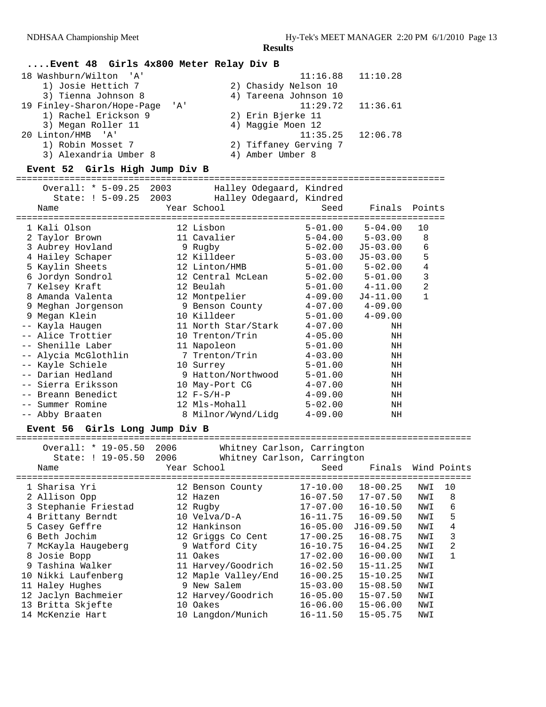## **....Event 48 Girls 4x800 Meter Relay Div B**

| 18 Washburn/Wilton 'A'             | 11:16.88              | 11:10.28 |
|------------------------------------|-----------------------|----------|
| 1) Josie Hettich 7                 | 2) Chasidy Nelson 10  |          |
| 3) Tienna Johnson 8                | 4) Tareena Johnson 10 |          |
| 19 Finley-Sharon/Hope-Page<br>' A' | 11:29.72              | 11:36.61 |
| 1) Rachel Erickson 9               | 2) Erin Bjerke 11     |          |
| 3) Megan Roller 11                 | 4) Maggie Moen 12     |          |
| 20 Linton/HMB 'A'                  | 11:35.25              | 12:06.78 |
| 1) Robin Mosset 7                  | 2) Tiffaney Gerving 7 |          |
| 3) Alexandria Umber 8              | 4) Amber Umber 8      |          |

## **Event 52 Girls High Jump Div B**

#### ================================================================================

| Overall: * 5-09.25<br>State: ! 5-09.25 2003 | 2003 | Halley Odegaard, Kindred<br>Halley Odegaard, Kindred |             |                         |              |
|---------------------------------------------|------|------------------------------------------------------|-------------|-------------------------|--------------|
| Name                                        |      | Year School                                          | Seed        | Finals Points           |              |
| 1 Kali Olson                                |      | 12 Lisbon                                            |             | $5 - 01.00$ $5 - 04.00$ | 10           |
| 2 Taylor Brown                              |      | 11 Cavalier                                          | $5 - 04.00$ | $5 - 03.00$             | 8            |
| 3 Aubrey Hovland                            |      | 9 Rugby                                              |             | 5-02.00 J5-03.00        | 6            |
| 4 Hailey Schaper                            |      | 12 Killdeer                                          | 5-03.00     | J5-03.00                | 5            |
| 5 Kaylin Sheets                             |      | 12 Linton/HMB                                        |             | 5-01.00 5-02.00         | $\,4$        |
| 6 Jordyn Sondrol                            |      | 12 Central McLean                                    |             | 5-02.00 5-01.00         | 3            |
| 7 Kelsey Kraft                              |      | 12 Beulah                                            |             | $5 - 01.00$ $4 - 11.00$ | $\sqrt{2}$   |
| 8 Amanda Valenta                            |      | 12 Montpelier                                        | $4 - 09.00$ | J4-11.00                | $\mathbf{1}$ |
| 9 Meghan Jorgenson                          |      | 9 Benson County                                      |             | $4-07.00$ $4-09.00$     |              |
| 9 Megan Klein                               |      | 10 Killdeer                                          | $5 - 01.00$ | $4 - 09.00$             |              |
| -- Kayla Haugen                             |      | 11 North Star/Stark                                  | $4 - 07.00$ | ΝH                      |              |
| -- Alice Trottier                           |      | 10 Trenton/Trin                                      | $4 - 05.00$ | NH                      |              |
| -- Shenille Laber                           |      | 11 Napoleon                                          | $5 - 01.00$ | NH                      |              |
| -- Alycia McGlothlin                        |      | 7 Trenton/Trin                                       | $4 - 03.00$ | NH                      |              |
| -- Kayle Schiele                            |      | 10 Surrey                                            | $5 - 01.00$ | NH                      |              |
| -- Darian Hedland                           |      | 9 Hatton/Northwood                                   | $5 - 01.00$ | NH                      |              |
| -- Sierra Eriksson                          |      | 10 May-Port CG                                       | $4 - 07.00$ | NH                      |              |
| -- Breann Benedict                          |      | $12 F-S/H-P$                                         | $4 - 09.00$ | NH                      |              |
| -- Summer Romine                            |      | 12 Mls-Mohall                                        | $5 - 02.00$ | ΝH                      |              |
| -- Abby Braaten                             |      | 8 Milnor/Wynd/Lidq                                   | $4 - 09.00$ | ΝH                      |              |
|                                             |      |                                                      |             |                         |              |

#### **Event 56 Girls Long Jump Div B**

| Overall: * 19-05.50<br>State: ! 19-05.50 | 2006 | Whitney Carlson, Carrington |                        |                    |     |    |
|------------------------------------------|------|-----------------------------|------------------------|--------------------|-----|----|
|                                          | 2006 | Whitney Carlson, Carrington |                        |                    |     |    |
| Name                                     |      | Year School                 | Seed                   | Finals Wind Points |     |    |
|                                          |      |                             | ---------------------- |                    |     |    |
| 1 Sharisa Yri                            |      | 12 Benson County            | 17-10.00               | $18 - 00.25$       | NWI | 10 |
| 2 Allison Opp                            |      | 12 Hazen                    | $16 - 07.50$           | $17 - 07.50$       | NWI | 8  |
| 3 Stephanie Friestad                     |      | 12 Rugby                    | $17-07.00$             | $16 - 10.50$       | NWI | 6  |
| 4 Brittany Berndt                        |      | 10 Velva/D-A                | $16 - 11.75$           | $16 - 09.50$       | NWI | 5  |
| 5 Casey Geffre                           |      | 12 Hankinson                | $16 - 05.00$           | $J16-09.50$        | NWI | 4  |
| 6 Beth Jochim                            |      | 12 Griggs Co Cent           | $17 - 00.25$           | $16 - 08.75$       | NWI | 3  |
| 7 McKayla Haugeberg                      |      | 9 Watford City              | $16 - 10.75$           | $16 - 04.25$       | NWI | 2  |
| 8 Josie Bopp                             |      | 11 Oakes                    | $17 - 02.00$           | $16 - 00.00$       | NWI |    |
| 9 Tashina Walker                         |      | 11 Harvey/Goodrich          | $16 - 02.50$           | $15 - 11.25$       | NWI |    |
| 10 Nikki Laufenberg                      |      | 12 Maple Valley/End         | $16 - 00.25$           | $15 - 10.25$       | NWI |    |
| 11 Haley Hughes                          |      | 9 New Salem                 | $15 - 03.00$           | $15 - 08.50$       | NWI |    |
| 12 Jaclyn Bachmeier                      |      | 12 Harvey/Goodrich          | $16 - 05.00$           | $15 - 07.50$       | NWI |    |
| 13 Britta Skjefte                        | 10   | Oakes                       | $16 - 06.00$           | $15 - 06.00$       | NWI |    |
| 14 McKenzie Hart                         |      | 10 Langdon/Munich           | $16 - 11.50$           | $15 - 05.75$       | NWI |    |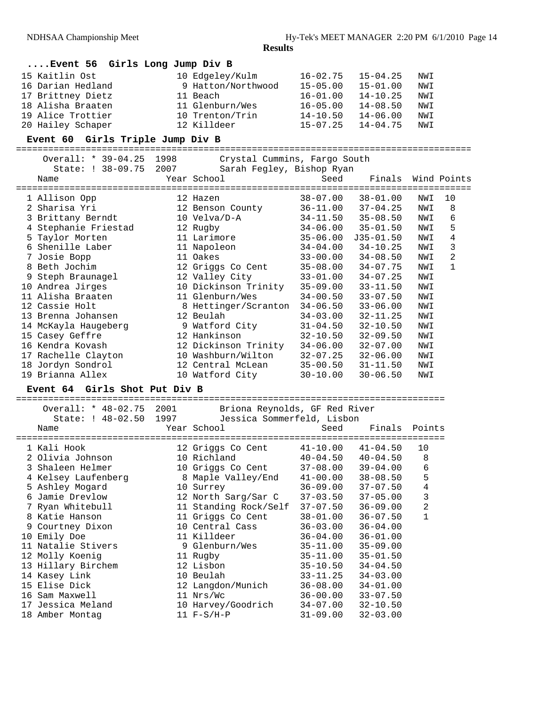## **....Event 56 Girls Long Jump Div B**

| 15 Kaitlin Ost    | 10 Edgeley/Kulm    | $16 - 02.75$ | $15 - 04.25$ | NWI |
|-------------------|--------------------|--------------|--------------|-----|
| 16 Darian Hedland | 9 Hatton/Northwood | $15 - 05.00$ | $15 - 01.00$ | NWI |
| 17 Brittney Dietz | 11 Beach           | $16 - 01.00$ | $14 - 10.25$ | NWI |
| 18 Alisha Braaten | 11 Glenburn/Wes    | $16 - 05.00$ | $14 - 08.50$ | NWI |
| 19 Alice Trottier | 10 Trenton/Trin    | $14 - 10.50$ | $14 - 06.00$ | NWI |
| 20 Hailey Schaper | 12 Killdeer        | $15 - 07.25$ | $14 - 04.75$ | NWI |

#### **Event 60 Girls Triple Jump Div B**

=====================================================================================

| Overall: * 39-04.25  | 1998 | Crystal Cummins, Fargo South |              |               |     |             |
|----------------------|------|------------------------------|--------------|---------------|-----|-------------|
| State: ! 38-09.75    | 2007 | Sarah Fegley, Bishop Ryan    |              |               |     |             |
| Name                 |      | Year School                  | Seed         | Finals        |     | Wind Points |
|                      |      |                              | =======      |               |     |             |
| 1 Allison Opp        |      | 12 Hazen                     | $38 - 07.00$ | $38 - 01.00$  | NWI | 10          |
| 2 Sharisa Yri        |      | 12 Benson County             | $36 - 11.00$ | $37 - 04.25$  | NWI | 8           |
| 3 Brittany Berndt    |      | 10 Velva/D-A                 | $34 - 11.50$ | $35 - 08.50$  | NWI | 6           |
| 4 Stephanie Friestad |      | 12 Rugby                     | $34 - 06.00$ | $35 - 01.50$  | NWI | 5           |
| 5 Taylor Morten      |      | 11 Larimore                  | $35 - 06.00$ | $J35 - 01.50$ | NWI | 4           |
| 6 Shenille Laber     |      | 11 Napoleon                  | $34 - 04.00$ | $34 - 10.25$  | NWI | 3           |
| 7 Josie Bopp         |      | 11 Oakes                     | $33 - 00.00$ | $34 - 08.50$  | NWI | 2           |
| 8 Beth Jochim        |      | 12 Griggs Co Cent            | $35 - 08.00$ | $34 - 07.75$  | NWI | 1           |
| 9 Steph Braunagel    |      | 12 Valley City               | $33 - 01.00$ | $34 - 07.25$  | NWI |             |
| 10 Andrea Jirges     |      | 10 Dickinson Trinity         | $35 - 09.00$ | $33 - 11.50$  | NWI |             |
| 11 Alisha Braaten    |      | 11 Glenburn/Wes              | $34 - 00.50$ | $33 - 07.50$  | NWI |             |
| 12 Cassie Holt       |      | 8 Hettinger/Scranton         | $34 - 06.50$ | $33 - 06.00$  | NWI |             |
| 13 Brenna Johansen   |      | 12 Beulah                    | $34 - 03.00$ | $32 - 11.25$  | NWI |             |
| 14 McKayla Haugeberg |      | 9 Watford City               | $31 - 04.50$ | $32 - 10.50$  | NWI |             |
| 15 Casey Geffre      |      | 12 Hankinson                 | $32 - 10.50$ | $32 - 09.50$  | NWI |             |
| 16 Kendra Kovash     |      | 12 Dickinson Trinity         | $34 - 06.00$ | $32 - 07.00$  | NWI |             |
| 17 Rachelle Clayton  |      | 10 Washburn/Wilton           | $32 - 07.25$ | $32 - 06.00$  | NWI |             |
| 18 Jordyn Sondrol    |      | 12 Central McLean            | $35 - 00.50$ | $31 - 11.50$  | NWI |             |
| 19 Brianna Allex     |      | 10 Watford City              | $30 - 10.00$ | $30 - 06.50$  | NWI |             |

#### **Event 64 Girls Shot Put Div B**

================================================================================ Overall: \* 48-02.75 2001 Briona Reynolds, GF Red River

| Overall: * 48-02.75 2001                      | Briona keynolds, GF ked kiver           |              |               |                |
|-----------------------------------------------|-----------------------------------------|--------------|---------------|----------------|
| State: ! 48-02.50 1997<br>Year School<br>Name | Jessica Sommerfeld, Lisbon              | Seed         | Finals Points |                |
| 1 Kali Hook                                   | ==================<br>12 Griggs Co Cent | $41 - 10.00$ | 41-04.50      | 10             |
| 2 Olivia Johnson                              | 10 Richland                             | 40-04.50     | $40 - 04.50$  | 8              |
| 3 Shaleen Helmer                              | 10 Griggs Co Cent                       | 37-08.00     | $39 - 04.00$  | 6              |
| 4 Kelsey Laufenberg                           | 8 Maple Valley/End                      | 41-00.00     | 38-08.50      | 5              |
| 5 Ashley Mogard                               | 10 Surrey                               | $36 - 09.00$ | $37 - 07.50$  | 4              |
| 6 Jamie Drevlow                               | 12 North Sarg/Sar C                     | $37 - 03.50$ | $37 - 05.00$  | 3              |
| 7 Ryan Whitebull                              | 11 Standing Rock/Self                   | $37 - 07.50$ | $36 - 09.00$  | $\overline{a}$ |
| 8 Katie Hanson                                | 11 Griggs Co Cent                       | 38-01.00     | $36 - 07.50$  | $\mathbf{1}$   |
| 9 Courtney Dixon                              | 10 Central Cass                         | $36 - 03.00$ | $36 - 04.00$  |                |
| 10 Emily Doe                                  | 11 Killdeer                             | $36 - 04.00$ | $36 - 01.00$  |                |
| 11 Natalie Stivers                            | 9 Glenburn/Wes                          | 35-11.00     | $35 - 09.00$  |                |
| 12 Molly Koenig                               | 11 Rugby                                | $35 - 11.00$ | $35 - 01.50$  |                |
| 13 Hillary Birchem                            | 12 Lisbon                               | $35 - 10.50$ | $34 - 04.50$  |                |
| 14 Kasey Link                                 | 10 Beulah                               | 33-11.25     | $34 - 03.00$  |                |
| 15 Elise Dick                                 | 12 Langdon/Munich                       | $36 - 08.00$ | $34 - 01.00$  |                |
| 16 Sam Maxwell                                | 11 Nrs/Wc                               | $36 - 00.00$ | $33 - 07.50$  |                |
| 17 Jessica Meland                             | 10 Harvey/Goodrich                      | 34-07.00     | $32 - 10.50$  |                |
| 18 Amber Montag                               | $11 F-S/H-P$                            | $31 - 09.00$ | $32 - 03.00$  |                |
|                                               |                                         |              |               |                |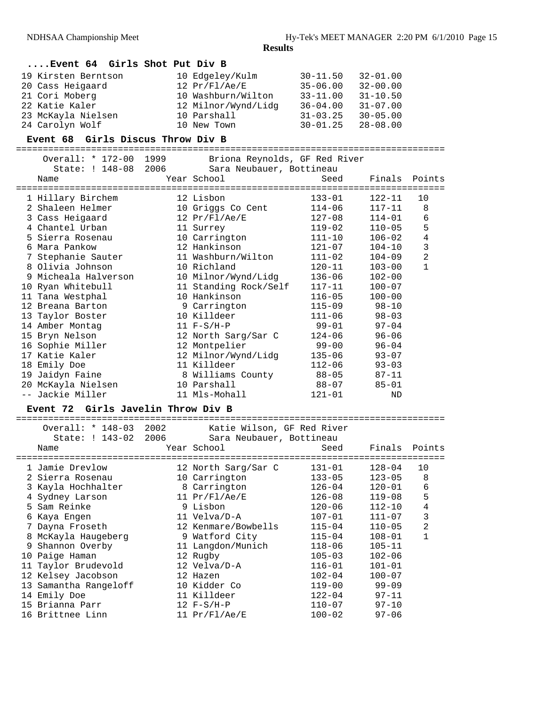## **....Event 64 Girls Shot Put Div B**

| 19 Kirsten Berntson | 10 Edgeley/Kulm     | $30 - 11.50$ | $32 - 01.00$ |
|---------------------|---------------------|--------------|--------------|
| 20 Cass Heigaard    | 12 Pr/F1/Ae/E       | $35 - 06.00$ | $32 - 00.00$ |
| 21 Cori Moberg      | 10 Washburn/Wilton  | $33 - 11.00$ | $31 - 10.50$ |
| 22 Katie Kaler      | 12 Milnor/Wynd/Lidg | $36 - 04.00$ | $31 - 07.00$ |
| 23 McKayla Nielsen  | 10 Parshall         | $31 - 03.25$ | $30 - 05.00$ |
| 24 Carolyn Wolf     | 10 New Town         | $30 - 01.25$ | $28 - 08.00$ |

#### **Event 68 Girls Discus Throw Div B**

#### ================================================================================

| Overall: * 172-00    | 1999 | Briona Reynolds, GF Red River |             |               |                |
|----------------------|------|-------------------------------|-------------|---------------|----------------|
| State: ! 148-08 2006 |      | Sara Neubauer, Bottineau      |             |               |                |
| Name                 |      | Year School                   | Seed        | Finals Points |                |
|                      |      |                               |             |               |                |
| 1 Hillary Birchem    |      | 12 Lisbon                     | $133 - 01$  | 122-11        | 10             |
| 2 Shaleen Helmer     |      | 10 Griggs Co Cent             | $114 - 06$  | 117-11        | 8              |
| 3 Cass Heigaard      |      | 12 Pr/Fl/Ae/E                 | 127-08      | $114 - 01$    | 6              |
| 4 Chantel Urban      |      | 11 Surrey                     | 119-02      | $110 - 05$    | 5              |
| 5 Sierra Rosenau     |      | 10 Carrington                 | $111 - 10$  | $106 - 02$    | $\overline{4}$ |
| 6 Mara Pankow        |      | 12 Hankinson                  | 121-07      | $104 - 10$    | 3              |
| 7 Stephanie Sauter   |      | 11 Washburn/Wilton            | 111-02      | 104-09        | $\overline{a}$ |
| 8 Olivia Johnson     |      | 10 Richland                   | $120 - 11$  | $103 - 00$    | $\mathbf{1}$   |
| 9 Micheala Halverson |      | 10 Milnor/Wynd/Lidg           | 136-06      | $102 - 00$    |                |
| 10 Ryan Whitebull    |      | 11 Standing Rock/Self         | $117 - 11$  | $100 - 07$    |                |
| 11 Tana Westphal     |      | 10 Hankinson                  | $116 - 05$  | $100 - 00$    |                |
| 12 Breana Barton     |      | 9 Carrington                  | $115 - 09$  | $98 - 10$     |                |
| 13 Taylor Boster     |      | 10 Killdeer                   | $111 - 06$  | $98 - 03$     |                |
| 14 Amber Montag      |      | $11 F-S/H-P$                  | $99 - 01$   | $97 - 04$     |                |
| 15 Bryn Nelson       |      | 12 North Sarg/Sar C           | $124 - 06$  | $96 - 06$     |                |
| 16 Sophie Miller     |      | 12 Montpelier                 | $99 - 00$   | $96 - 04$     |                |
| 17 Katie Kaler       |      | 12 Milnor/Wynd/Lidg           | 135-06      | $93 - 07$     |                |
| 18 Emily Doe         |      | 11 Killdeer                   | $112 - 06$  | $93 - 03$     |                |
| 19 Jaidyn Faine      |      | 8 Williams County             | 88-05 87-11 |               |                |
| 20 McKayla Nielsen   |      | 10 Parshall                   | 88-07       | $85 - 01$     |                |
| -- Jackie Miller     |      | 11 Mls-Mohall                 | $121 - 01$  | <b>ND</b>     |                |

#### **Event 72 Girls Javelin Throw Div B**

| Overall: * 148-03<br>State: ! 143-02<br>Name | 2006                                                                                                                                                                                                                                                                                                  | Seed                                                                                                                                                                                                                                                                                                                                                                                                                                                                                                                        | Finals                                                 | Points         |
|----------------------------------------------|-------------------------------------------------------------------------------------------------------------------------------------------------------------------------------------------------------------------------------------------------------------------------------------------------------|-----------------------------------------------------------------------------------------------------------------------------------------------------------------------------------------------------------------------------------------------------------------------------------------------------------------------------------------------------------------------------------------------------------------------------------------------------------------------------------------------------------------------------|--------------------------------------------------------|----------------|
|                                              |                                                                                                                                                                                                                                                                                                       | 131-01                                                                                                                                                                                                                                                                                                                                                                                                                                                                                                                      | 128-04                                                 | 10             |
|                                              |                                                                                                                                                                                                                                                                                                       | $133 - 05$                                                                                                                                                                                                                                                                                                                                                                                                                                                                                                                  | $123 - 05$                                             | 8              |
|                                              |                                                                                                                                                                                                                                                                                                       | $126 - 04$                                                                                                                                                                                                                                                                                                                                                                                                                                                                                                                  | $120 - 01$                                             | 6              |
|                                              |                                                                                                                                                                                                                                                                                                       | $126 - 08$                                                                                                                                                                                                                                                                                                                                                                                                                                                                                                                  | $119 - 08$                                             | 5              |
|                                              |                                                                                                                                                                                                                                                                                                       | $120 - 06$                                                                                                                                                                                                                                                                                                                                                                                                                                                                                                                  | $112 - 10$                                             | 4              |
|                                              |                                                                                                                                                                                                                                                                                                       | $107 - 01$                                                                                                                                                                                                                                                                                                                                                                                                                                                                                                                  | $111 - 07$                                             | 3              |
|                                              |                                                                                                                                                                                                                                                                                                       | $115 - 04$                                                                                                                                                                                                                                                                                                                                                                                                                                                                                                                  | $110 - 05$                                             | $\mathfrak{D}$ |
|                                              |                                                                                                                                                                                                                                                                                                       | $115 - 04$                                                                                                                                                                                                                                                                                                                                                                                                                                                                                                                  | $108 - 01$                                             | $\mathbf{1}$   |
| Shannon Overby                               |                                                                                                                                                                                                                                                                                                       | 118-06                                                                                                                                                                                                                                                                                                                                                                                                                                                                                                                      | $105 - 11$                                             |                |
|                                              |                                                                                                                                                                                                                                                                                                       | $105 - 03$                                                                                                                                                                                                                                                                                                                                                                                                                                                                                                                  | $102 - 06$                                             |                |
|                                              |                                                                                                                                                                                                                                                                                                       | $116 - 01$                                                                                                                                                                                                                                                                                                                                                                                                                                                                                                                  | $101 - 01$                                             |                |
|                                              |                                                                                                                                                                                                                                                                                                       | $102 - 04$                                                                                                                                                                                                                                                                                                                                                                                                                                                                                                                  | $100 - 07$                                             |                |
|                                              |                                                                                                                                                                                                                                                                                                       | $119 - 00$                                                                                                                                                                                                                                                                                                                                                                                                                                                                                                                  | $99 - 09$                                              |                |
|                                              |                                                                                                                                                                                                                                                                                                       |                                                                                                                                                                                                                                                                                                                                                                                                                                                                                                                             | $97 - 11$                                              |                |
|                                              |                                                                                                                                                                                                                                                                                                       | 110-07                                                                                                                                                                                                                                                                                                                                                                                                                                                                                                                      | $97 - 10$                                              |                |
|                                              |                                                                                                                                                                                                                                                                                                       | $100 - 02$                                                                                                                                                                                                                                                                                                                                                                                                                                                                                                                  | $97 - 06$                                              |                |
| 9                                            | 1 Jamie Drevlow<br>2 Sierra Rosenau<br>3 Kayla Hochhalter<br>4 Sydney Larson<br>5 Sam Reinke<br>6 Kaya Engen<br>7 Dayna Froseth<br>8 McKayla Haugeberg<br>10 Paige Haman<br>11 Taylor Brudevold<br>12 Kelsey Jacobson<br>13 Samantha Rangeloff<br>14 Emily Doe<br>15 Brianna Parr<br>16 Brittnee Linn | 2002 — 2003 — 2004 — 2005 — 2006 — 2007 — 2008 — 2008 — 2008 — 2008 — 2008 — 2008 — 2008 — 2008 — 2008 — 2008 — 2008 — 2008 — 2008 — 2008 — 2008 — 2008 — 2008 — 2008 — 2008 — 2008 — 2008 — 2008 — 2008 — 2008 — 2008 — 2008 —<br>Year School<br>12 North Sarg/Sar C<br>10 Carrington<br>8 Carrington<br>11 $Pr/F1/Re/E$<br>9 Lisbon<br>11 Velva/D-A<br>12 Kenmare/Bowbells<br>9 Watford City<br>11 Langdon/Munich<br>12 Rugby<br>12 Velva/D-A<br>12 Hazen<br>10 Kidder Co<br>11 Killdeer<br>$12 F-S/H-P$<br>11 Pr/F1/Ae/E | Katie Wilson, GF Red River<br>Sara Neubauer, Bottineau | $122 - 04$     |